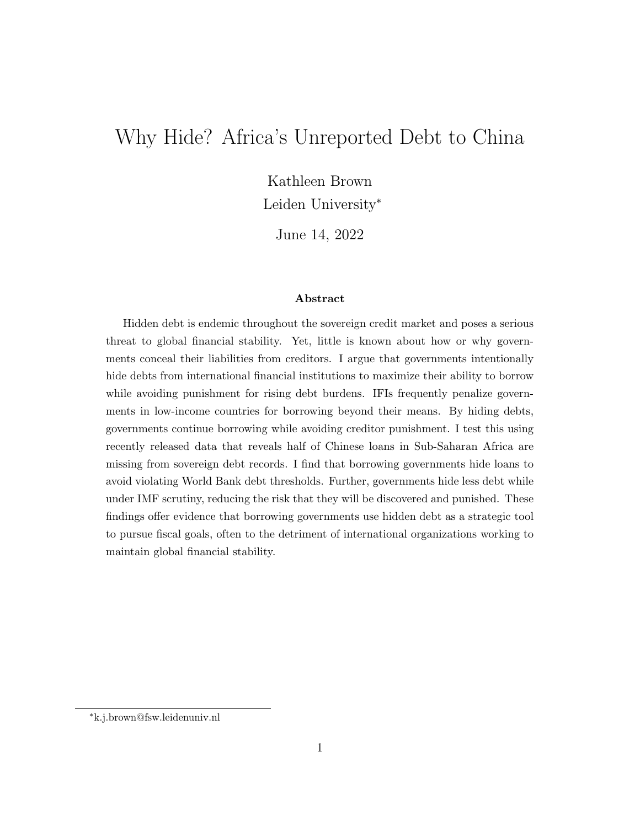# Why Hide? Africa's Unreported Debt to China

Kathleen Brown

Leiden University<sup>∗</sup>

June 14, 2022

#### Abstract

Hidden debt is endemic throughout the sovereign credit market and poses a serious threat to global financial stability. Yet, little is known about how or why governments conceal their liabilities from creditors. I argue that governments intentionally hide debts from international financial institutions to maximize their ability to borrow while avoiding punishment for rising debt burdens. IFIs frequently penalize governments in low-income countries for borrowing beyond their means. By hiding debts, governments continue borrowing while avoiding creditor punishment. I test this using recently released data that reveals half of Chinese loans in Sub-Saharan Africa are missing from sovereign debt records. I find that borrowing governments hide loans to avoid violating World Bank debt thresholds. Further, governments hide less debt while under IMF scrutiny, reducing the risk that they will be discovered and punished. These findings offer evidence that borrowing governments use hidden debt as a strategic tool to pursue fiscal goals, often to the detriment of international organizations working to maintain global financial stability.

<sup>∗</sup>k.j.brown@fsw.leidenuniv.nl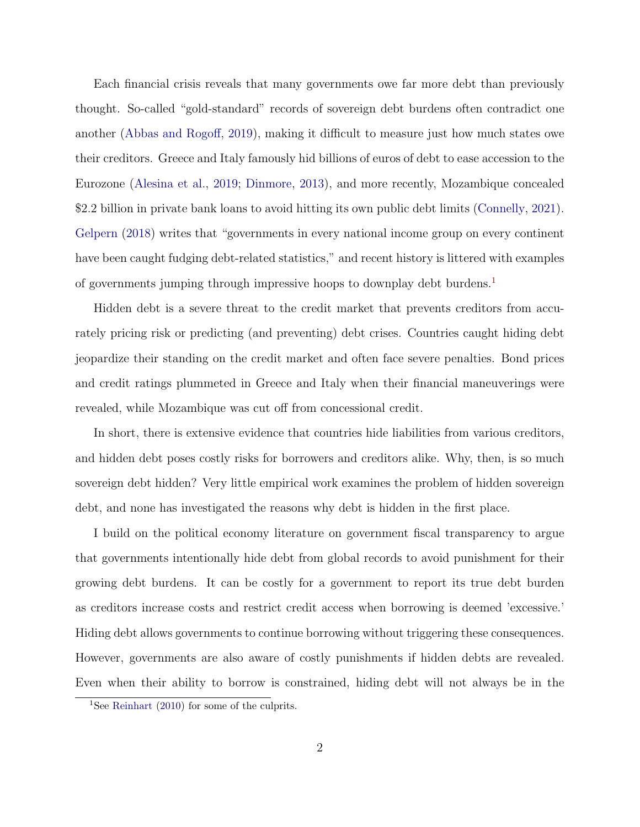Each financial crisis reveals that many governments owe far more debt than previously thought. So-called "gold-standard" records of sovereign debt burdens often contradict one another (Abbas and Rogoff, 2019), making it difficult to measure just how much states owe their creditors. Greece and Italy famously hid billions of euros of debt to ease accession to the Eurozone (Alesina et al., 2019; Dinmore, 2013), and more recently, Mozambique concealed \$2.2 billion in private bank loans to avoid hitting its own public debt limits (Connelly, 2021). Gelpern (2018) writes that "governments in every national income group on every continent have been caught fudging debt-related statistics," and recent history is littered with examples of governments jumping through impressive hoops to downplay debt burdens.1

Hidden debt is a severe threat to the credit market that prevents creditors from accurately pricing risk or predicting (and preventing) debt crises. Countries caught hiding debt jeopardize their standing on the credit market and often face severe penalties. Bond prices and credit ratings plummeted in Greece and Italy when their financial maneuverings were revealed, while Mozambique was cut off from concessional credit.

In short, there is extensive evidence that countries hide liabilities from various creditors, and hidden debt poses costly risks for borrowers and creditors alike. Why, then, is so much sovereign debt hidden? Very little empirical work examines the problem of hidden sovereign debt, and none has investigated the reasons why debt is hidden in the first place.

I build on the political economy literature on government fiscal transparency to argue that governments intentionally hide debt from global records to avoid punishment for their growing debt burdens. It can be costly for a government to report its true debt burden as creditors increase costs and restrict credit access when borrowing is deemed 'excessive.' Hiding debt allows governments to continue borrowing without triggering these consequences. However, governments are also aware of costly punishments if hidden debts are revealed. Even when their ability to borrow is constrained, hiding debt will not always be in the

<sup>1</sup>See Reinhart (2010) for some of the culprits.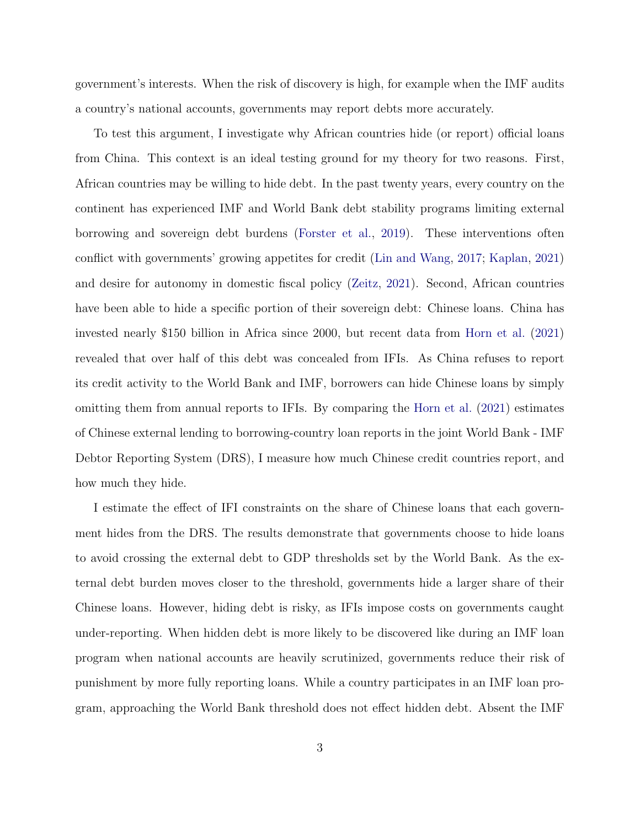government's interests. When the risk of discovery is high, for example when the IMF audits a country's national accounts, governments may report debts more accurately.

To test this argument, I investigate why African countries hide (or report) official loans from China. This context is an ideal testing ground for my theory for two reasons. First, African countries may be willing to hide debt. In the past twenty years, every country on the continent has experienced IMF and World Bank debt stability programs limiting external borrowing and sovereign debt burdens (Forster et al., 2019). These interventions often conflict with governments' growing appetites for credit (Lin and Wang, 2017; Kaplan, 2021) and desire for autonomy in domestic fiscal policy (Zeitz, 2021). Second, African countries have been able to hide a specific portion of their sovereign debt: Chinese loans. China has invested nearly \$150 billion in Africa since 2000, but recent data from Horn et al. (2021) revealed that over half of this debt was concealed from IFIs. As China refuses to report its credit activity to the World Bank and IMF, borrowers can hide Chinese loans by simply omitting them from annual reports to IFIs. By comparing the Horn et al. (2021) estimates of Chinese external lending to borrowing-country loan reports in the joint World Bank - IMF Debtor Reporting System (DRS), I measure how much Chinese credit countries report, and how much they hide.

I estimate the effect of IFI constraints on the share of Chinese loans that each government hides from the DRS. The results demonstrate that governments choose to hide loans to avoid crossing the external debt to GDP thresholds set by the World Bank. As the external debt burden moves closer to the threshold, governments hide a larger share of their Chinese loans. However, hiding debt is risky, as IFIs impose costs on governments caught under-reporting. When hidden debt is more likely to be discovered like during an IMF loan program when national accounts are heavily scrutinized, governments reduce their risk of punishment by more fully reporting loans. While a country participates in an IMF loan program, approaching the World Bank threshold does not effect hidden debt. Absent the IMF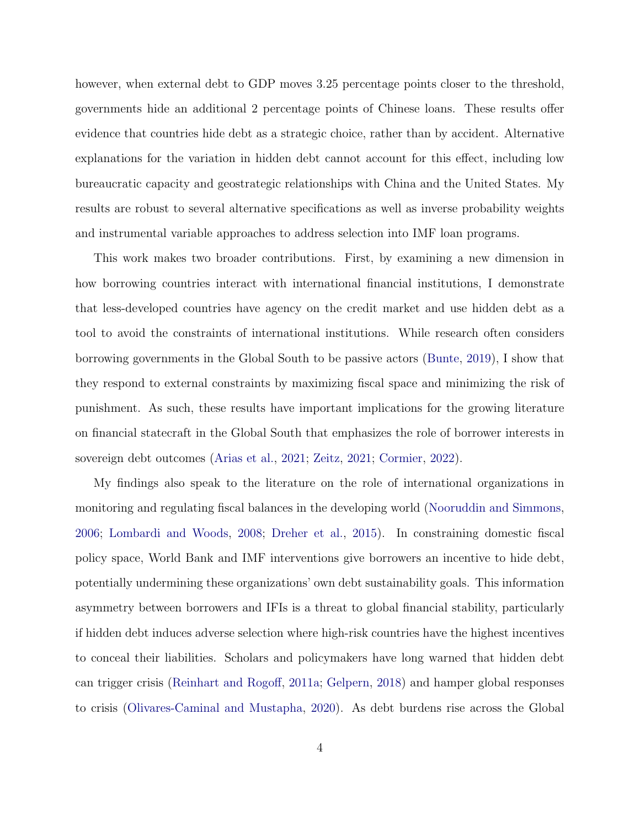however, when external debt to GDP moves 3.25 percentage points closer to the threshold, governments hide an additional 2 percentage points of Chinese loans. These results offer evidence that countries hide debt as a strategic choice, rather than by accident. Alternative explanations for the variation in hidden debt cannot account for this effect, including low bureaucratic capacity and geostrategic relationships with China and the United States. My results are robust to several alternative specifications as well as inverse probability weights and instrumental variable approaches to address selection into IMF loan programs.

This work makes two broader contributions. First, by examining a new dimension in how borrowing countries interact with international financial institutions, I demonstrate that less-developed countries have agency on the credit market and use hidden debt as a tool to avoid the constraints of international institutions. While research often considers borrowing governments in the Global South to be passive actors (Bunte, 2019), I show that they respond to external constraints by maximizing fiscal space and minimizing the risk of punishment. As such, these results have important implications for the growing literature on financial statecraft in the Global South that emphasizes the role of borrower interests in sovereign debt outcomes (Arias et al., 2021; Zeitz, 2021; Cormier, 2022).

My findings also speak to the literature on the role of international organizations in monitoring and regulating fiscal balances in the developing world (Nooruddin and Simmons, 2006; Lombardi and Woods, 2008; Dreher et al., 2015). In constraining domestic fiscal policy space, World Bank and IMF interventions give borrowers an incentive to hide debt, potentially undermining these organizations' own debt sustainability goals. This information asymmetry between borrowers and IFIs is a threat to global financial stability, particularly if hidden debt induces adverse selection where high-risk countries have the highest incentives to conceal their liabilities. Scholars and policymakers have long warned that hidden debt can trigger crisis (Reinhart and Rogoff, 2011a; Gelpern, 2018) and hamper global responses to crisis (Olivares-Caminal and Mustapha, 2020). As debt burdens rise across the Global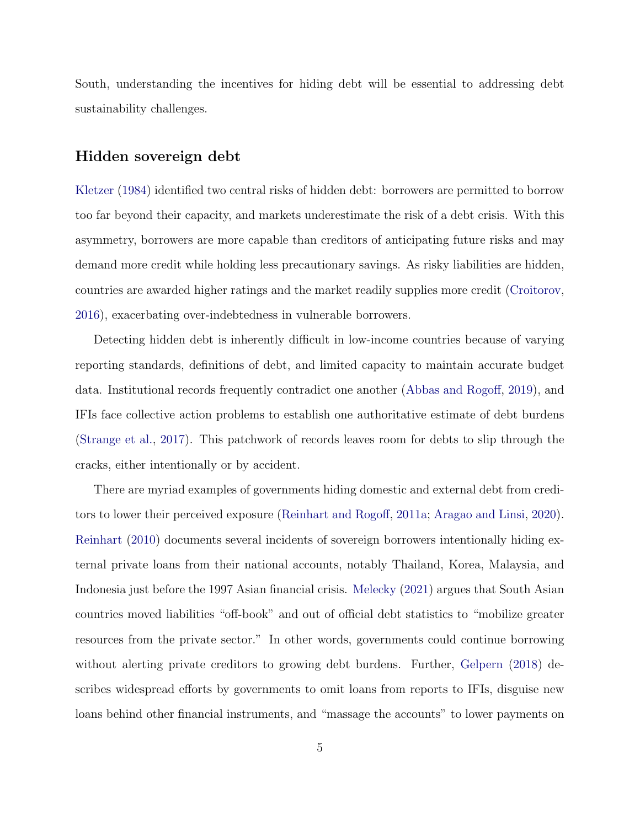South, understanding the incentives for hiding debt will be essential to addressing debt sustainability challenges.

### Hidden sovereign debt

Kletzer (1984) identified two central risks of hidden debt: borrowers are permitted to borrow too far beyond their capacity, and markets underestimate the risk of a debt crisis. With this asymmetry, borrowers are more capable than creditors of anticipating future risks and may demand more credit while holding less precautionary savings. As risky liabilities are hidden, countries are awarded higher ratings and the market readily supplies more credit (Croitorov, 2016), exacerbating over-indebtedness in vulnerable borrowers.

Detecting hidden debt is inherently difficult in low-income countries because of varying reporting standards, definitions of debt, and limited capacity to maintain accurate budget data. Institutional records frequently contradict one another (Abbas and Rogoff, 2019), and IFIs face collective action problems to establish one authoritative estimate of debt burdens (Strange et al., 2017). This patchwork of records leaves room for debts to slip through the cracks, either intentionally or by accident.

There are myriad examples of governments hiding domestic and external debt from creditors to lower their perceived exposure (Reinhart and Rogoff, 2011a; Aragao and Linsi, 2020). Reinhart (2010) documents several incidents of sovereign borrowers intentionally hiding external private loans from their national accounts, notably Thailand, Korea, Malaysia, and Indonesia just before the 1997 Asian financial crisis. Melecky (2021) argues that South Asian countries moved liabilities "off-book" and out of official debt statistics to "mobilize greater resources from the private sector." In other words, governments could continue borrowing without alerting private creditors to growing debt burdens. Further, Gelpern (2018) describes widespread efforts by governments to omit loans from reports to IFIs, disguise new loans behind other financial instruments, and "massage the accounts" to lower payments on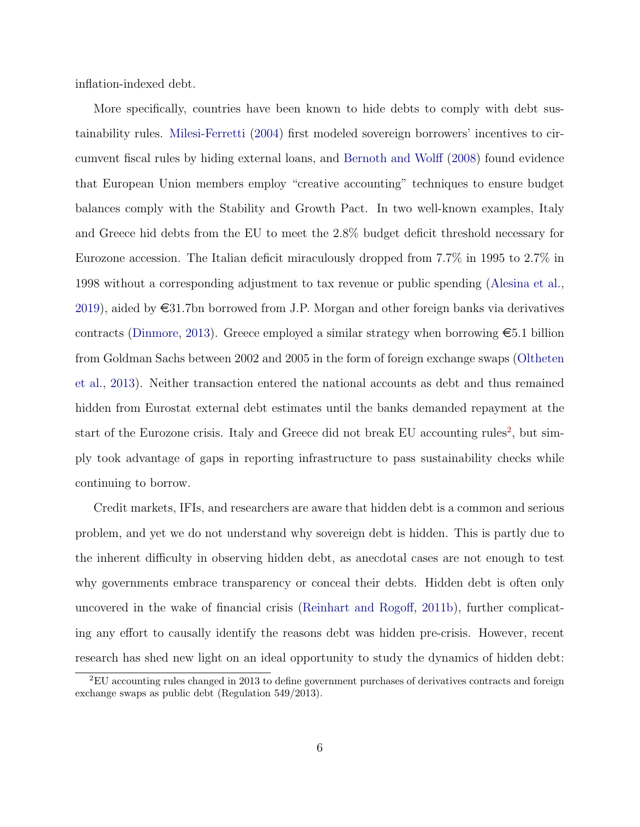inflation-indexed debt.

More specifically, countries have been known to hide debts to comply with debt sustainability rules. Milesi-Ferretti (2004) first modeled sovereign borrowers' incentives to circumvent fiscal rules by hiding external loans, and Bernoth and Wolff (2008) found evidence that European Union members employ "creative accounting" techniques to ensure budget balances comply with the Stability and Growth Pact. In two well-known examples, Italy and Greece hid debts from the EU to meet the 2.8% budget deficit threshold necessary for Eurozone accession. The Italian deficit miraculously dropped from 7.7% in 1995 to 2.7% in 1998 without a corresponding adjustment to tax revenue or public spending (Alesina et al., 2019), aided by  $\epsilon$ 31.7bn borrowed from J.P. Morgan and other foreign banks via derivatives contracts (Dinmore, 2013). Greece employed a similar strategy when borrowing  $\epsilon$ 5.1 billion from Goldman Sachs between 2002 and 2005 in the form of foreign exchange swaps (Oltheten et al., 2013). Neither transaction entered the national accounts as debt and thus remained hidden from Eurostat external debt estimates until the banks demanded repayment at the start of the Eurozone crisis. Italy and Greece did not break EU accounting rules<sup>2</sup>, but simply took advantage of gaps in reporting infrastructure to pass sustainability checks while continuing to borrow.

Credit markets, IFIs, and researchers are aware that hidden debt is a common and serious problem, and yet we do not understand why sovereign debt is hidden. This is partly due to the inherent difficulty in observing hidden debt, as anecdotal cases are not enough to test why governments embrace transparency or conceal their debts. Hidden debt is often only uncovered in the wake of financial crisis (Reinhart and Rogoff, 2011b), further complicating any effort to causally identify the reasons debt was hidden pre-crisis. However, recent research has shed new light on an ideal opportunity to study the dynamics of hidden debt:

<sup>2</sup>EU accounting rules changed in 2013 to define government purchases of derivatives contracts and foreign exchange swaps as public debt (Regulation 549/2013).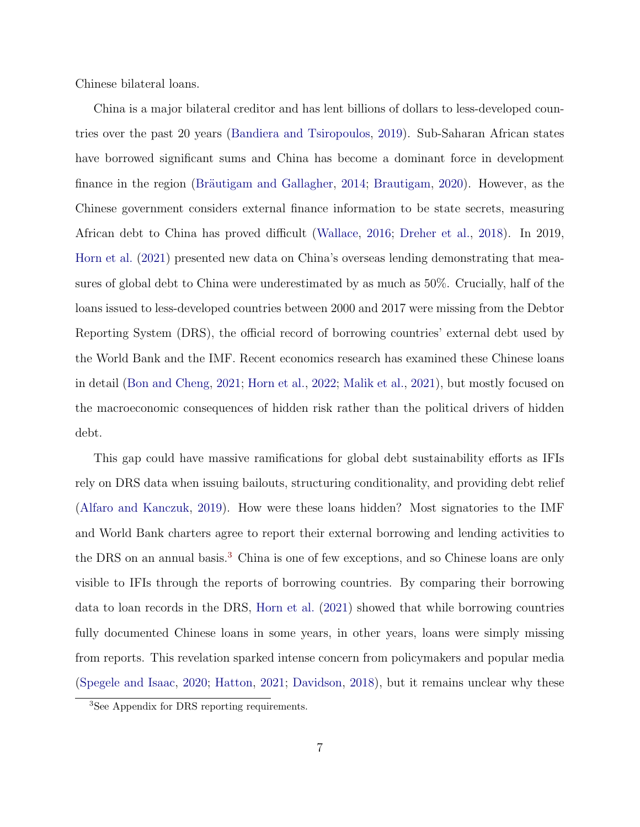Chinese bilateral loans.

China is a major bilateral creditor and has lent billions of dollars to less-developed countries over the past 20 years (Bandiera and Tsiropoulos, 2019). Sub-Saharan African states have borrowed significant sums and China has become a dominant force in development finance in the region (Bräutigam and Gallagher, 2014; Brautigam, 2020). However, as the Chinese government considers external finance information to be state secrets, measuring African debt to China has proved difficult (Wallace, 2016; Dreher et al., 2018). In 2019, Horn et al. (2021) presented new data on China's overseas lending demonstrating that measures of global debt to China were underestimated by as much as 50%. Crucially, half of the loans issued to less-developed countries between 2000 and 2017 were missing from the Debtor Reporting System (DRS), the official record of borrowing countries' external debt used by the World Bank and the IMF. Recent economics research has examined these Chinese loans in detail (Bon and Cheng, 2021; Horn et al., 2022; Malik et al., 2021), but mostly focused on the macroeconomic consequences of hidden risk rather than the political drivers of hidden debt.

This gap could have massive ramifications for global debt sustainability efforts as IFIs rely on DRS data when issuing bailouts, structuring conditionality, and providing debt relief (Alfaro and Kanczuk, 2019). How were these loans hidden? Most signatories to the IMF and World Bank charters agree to report their external borrowing and lending activities to the DRS on an annual basis.<sup>3</sup> China is one of few exceptions, and so Chinese loans are only visible to IFIs through the reports of borrowing countries. By comparing their borrowing data to loan records in the DRS, Horn et al. (2021) showed that while borrowing countries fully documented Chinese loans in some years, in other years, loans were simply missing from reports. This revelation sparked intense concern from policymakers and popular media (Spegele and Isaac, 2020; Hatton, 2021; Davidson, 2018), but it remains unclear why these

<sup>3</sup>See Appendix for DRS reporting requirements.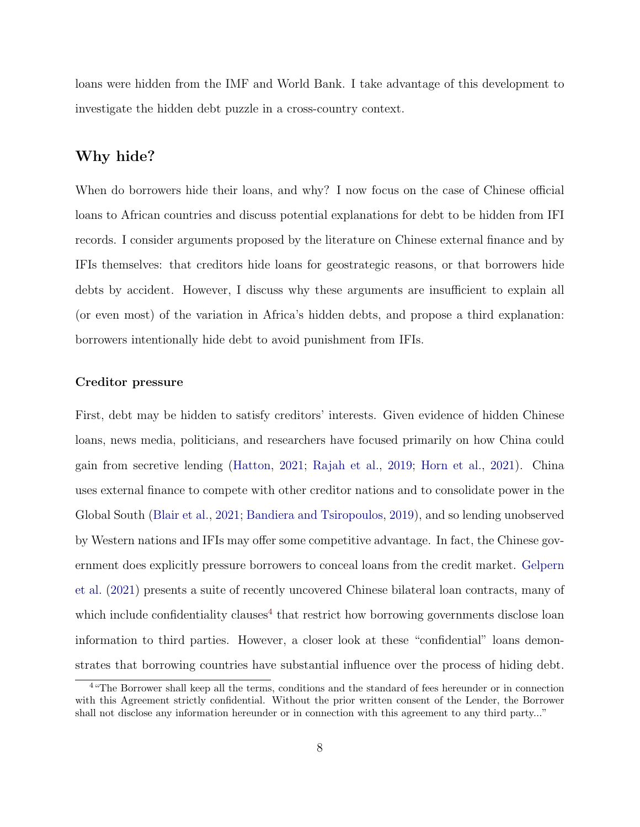loans were hidden from the IMF and World Bank. I take advantage of this development to investigate the hidden debt puzzle in a cross-country context.

### Why hide?

When do borrowers hide their loans, and why? I now focus on the case of Chinese official loans to African countries and discuss potential explanations for debt to be hidden from IFI records. I consider arguments proposed by the literature on Chinese external finance and by IFIs themselves: that creditors hide loans for geostrategic reasons, or that borrowers hide debts by accident. However, I discuss why these arguments are insufficient to explain all (or even most) of the variation in Africa's hidden debts, and propose a third explanation: borrowers intentionally hide debt to avoid punishment from IFIs.

#### Creditor pressure

First, debt may be hidden to satisfy creditors' interests. Given evidence of hidden Chinese loans, news media, politicians, and researchers have focused primarily on how China could gain from secretive lending (Hatton, 2021; Rajah et al., 2019; Horn et al., 2021). China uses external finance to compete with other creditor nations and to consolidate power in the Global South (Blair et al., 2021; Bandiera and Tsiropoulos, 2019), and so lending unobserved by Western nations and IFIs may offer some competitive advantage. In fact, the Chinese government does explicitly pressure borrowers to conceal loans from the credit market. Gelpern et al. (2021) presents a suite of recently uncovered Chinese bilateral loan contracts, many of which include confidentiality clauses<sup>4</sup> that restrict how borrowing governments disclose loan information to third parties. However, a closer look at these "confidential" loans demonstrates that borrowing countries have substantial influence over the process of hiding debt.

<sup>&</sup>lt;sup>4</sup> "The Borrower shall keep all the terms, conditions and the standard of fees hereunder or in connection with this Agreement strictly confidential. Without the prior written consent of the Lender, the Borrower shall not disclose any information hereunder or in connection with this agreement to any third party..."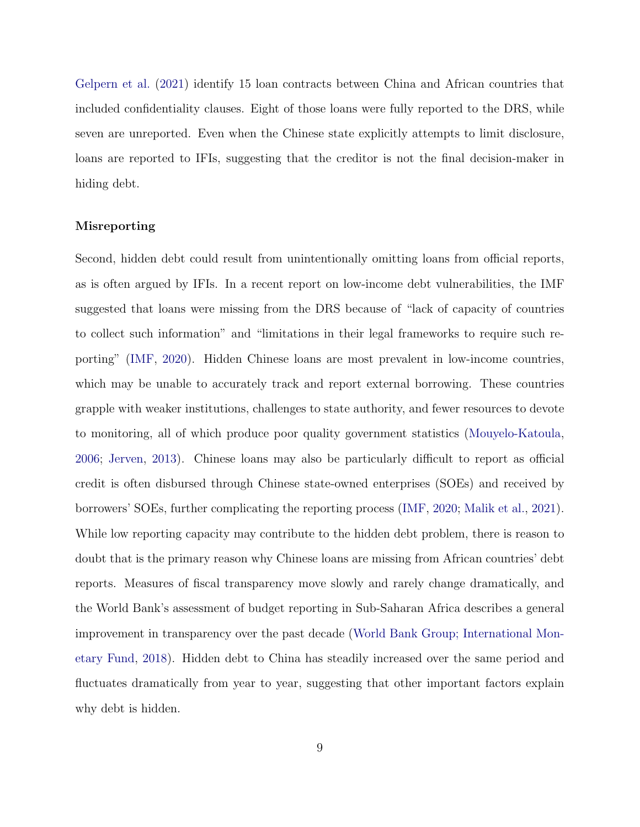Gelpern et al. (2021) identify 15 loan contracts between China and African countries that included confidentiality clauses. Eight of those loans were fully reported to the DRS, while seven are unreported. Even when the Chinese state explicitly attempts to limit disclosure, loans are reported to IFIs, suggesting that the creditor is not the final decision-maker in hiding debt.

#### Misreporting

Second, hidden debt could result from unintentionally omitting loans from official reports, as is often argued by IFIs. In a recent report on low-income debt vulnerabilities, the IMF suggested that loans were missing from the DRS because of "lack of capacity of countries to collect such information" and "limitations in their legal frameworks to require such reporting" (IMF, 2020). Hidden Chinese loans are most prevalent in low-income countries, which may be unable to accurately track and report external borrowing. These countries grapple with weaker institutions, challenges to state authority, and fewer resources to devote to monitoring, all of which produce poor quality government statistics (Mouyelo-Katoula, 2006; Jerven, 2013). Chinese loans may also be particularly difficult to report as official credit is often disbursed through Chinese state-owned enterprises (SOEs) and received by borrowers' SOEs, further complicating the reporting process (IMF, 2020; Malik et al., 2021). While low reporting capacity may contribute to the hidden debt problem, there is reason to doubt that is the primary reason why Chinese loans are missing from African countries' debt reports. Measures of fiscal transparency move slowly and rarely change dramatically, and the World Bank's assessment of budget reporting in Sub-Saharan Africa describes a general improvement in transparency over the past decade (World Bank Group; International Monetary Fund, 2018). Hidden debt to China has steadily increased over the same period and fluctuates dramatically from year to year, suggesting that other important factors explain why debt is hidden.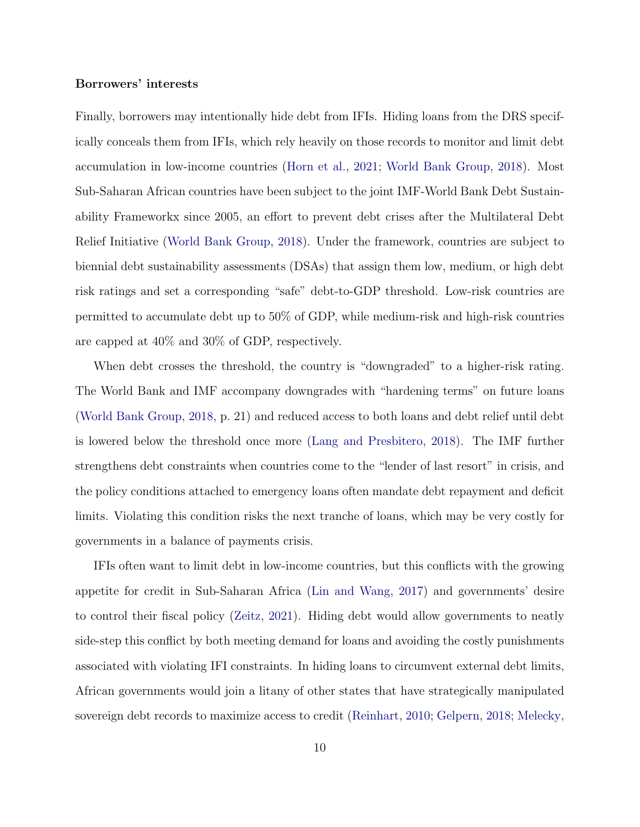#### Borrowers' interests

Finally, borrowers may intentionally hide debt from IFIs. Hiding loans from the DRS specifically conceals them from IFIs, which rely heavily on those records to monitor and limit debt accumulation in low-income countries (Horn et al., 2021; World Bank Group, 2018). Most Sub-Saharan African countries have been subject to the joint IMF-World Bank Debt Sustainability Frameworkx since 2005, an effort to prevent debt crises after the Multilateral Debt Relief Initiative (World Bank Group, 2018). Under the framework, countries are subject to biennial debt sustainability assessments (DSAs) that assign them low, medium, or high debt risk ratings and set a corresponding "safe" debt-to-GDP threshold. Low-risk countries are permitted to accumulate debt up to 50% of GDP, while medium-risk and high-risk countries are capped at 40% and 30% of GDP, respectively.

When debt crosses the threshold, the country is "downgraded" to a higher-risk rating. The World Bank and IMF accompany downgrades with "hardening terms" on future loans (World Bank Group, 2018, p. 21) and reduced access to both loans and debt relief until debt is lowered below the threshold once more (Lang and Presbitero, 2018). The IMF further strengthens debt constraints when countries come to the "lender of last resort" in crisis, and the policy conditions attached to emergency loans often mandate debt repayment and deficit limits. Violating this condition risks the next tranche of loans, which may be very costly for governments in a balance of payments crisis.

IFIs often want to limit debt in low-income countries, but this conflicts with the growing appetite for credit in Sub-Saharan Africa (Lin and Wang, 2017) and governments' desire to control their fiscal policy (Zeitz, 2021). Hiding debt would allow governments to neatly side-step this conflict by both meeting demand for loans and avoiding the costly punishments associated with violating IFI constraints. In hiding loans to circumvent external debt limits, African governments would join a litany of other states that have strategically manipulated sovereign debt records to maximize access to credit (Reinhart, 2010; Gelpern, 2018; Melecky,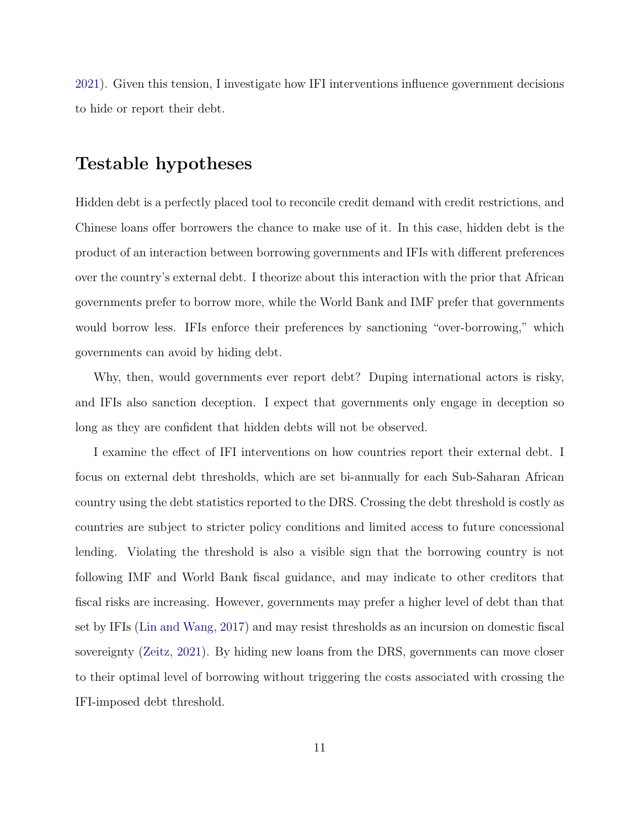2021). Given this tension, I investigate how IFI interventions influence government decisions to hide or report their debt.

## Testable hypotheses

Hidden debt is a perfectly placed tool to reconcile credit demand with credit restrictions, and Chinese loans offer borrowers the chance to make use of it. In this case, hidden debt is the product of an interaction between borrowing governments and IFIs with different preferences over the country's external debt. I theorize about this interaction with the prior that African governments prefer to borrow more, while the World Bank and IMF prefer that governments would borrow less. IFIs enforce their preferences by sanctioning "over-borrowing," which governments can avoid by hiding debt.

Why, then, would governments ever report debt? Duping international actors is risky, and IFIs also sanction deception. I expect that governments only engage in deception so long as they are confident that hidden debts will not be observed.

I examine the effect of IFI interventions on how countries report their external debt. I focus on external debt thresholds, which are set bi-annually for each Sub-Saharan African country using the debt statistics reported to the DRS. Crossing the debt threshold is costly as countries are subject to stricter policy conditions and limited access to future concessional lending. Violating the threshold is also a visible sign that the borrowing country is not following IMF and World Bank fiscal guidance, and may indicate to other creditors that fiscal risks are increasing. However, governments may prefer a higher level of debt than that set by IFIs (Lin and Wang, 2017) and may resist thresholds as an incursion on domestic fiscal sovereignty (Zeitz, 2021). By hiding new loans from the DRS, governments can move closer to their optimal level of borrowing without triggering the costs associated with crossing the IFI-imposed debt threshold.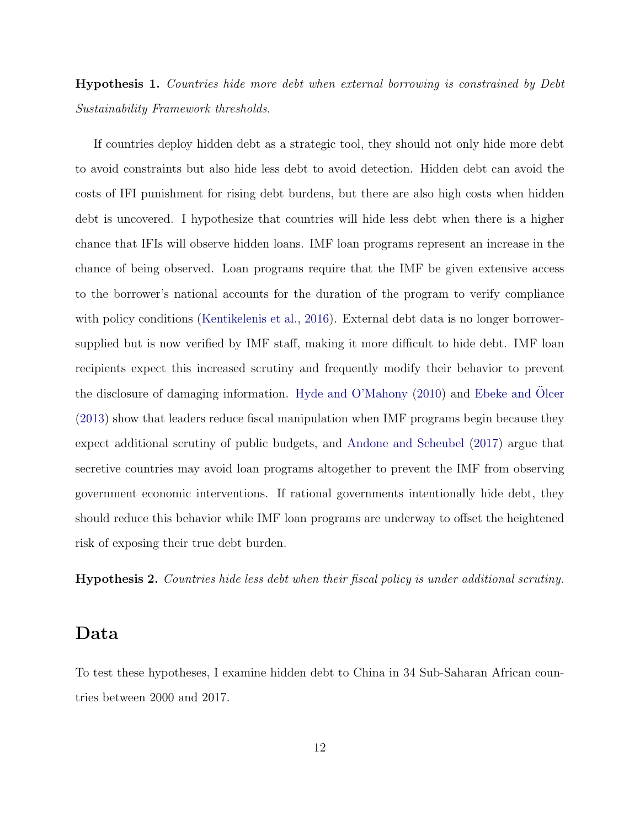# Hypothesis 1. Countries hide more debt when external borrowing is constrained by Debt Sustainability Framework thresholds.

If countries deploy hidden debt as a strategic tool, they should not only hide more debt to avoid constraints but also hide less debt to avoid detection. Hidden debt can avoid the costs of IFI punishment for rising debt burdens, but there are also high costs when hidden debt is uncovered. I hypothesize that countries will hide less debt when there is a higher chance that IFIs will observe hidden loans. IMF loan programs represent an increase in the chance of being observed. Loan programs require that the IMF be given extensive access to the borrower's national accounts for the duration of the program to verify compliance with policy conditions (Kentikelenis et al., 2016). External debt data is no longer borrowersupplied but is now verified by IMF staff, making it more difficult to hide debt. IMF loan recipients expect this increased scrutiny and frequently modify their behavior to prevent the disclosure of damaging information. Hyde and  $O'Mahony$  (2010) and Ebeke and Olcer (2013) show that leaders reduce fiscal manipulation when IMF programs begin because they expect additional scrutiny of public budgets, and Andone and Scheubel (2017) argue that secretive countries may avoid loan programs altogether to prevent the IMF from observing government economic interventions. If rational governments intentionally hide debt, they should reduce this behavior while IMF loan programs are underway to offset the heightened risk of exposing their true debt burden.

Hypothesis 2. Countries hide less debt when their fiscal policy is under additional scrutiny.

## Data

To test these hypotheses, I examine hidden debt to China in 34 Sub-Saharan African countries between 2000 and 2017.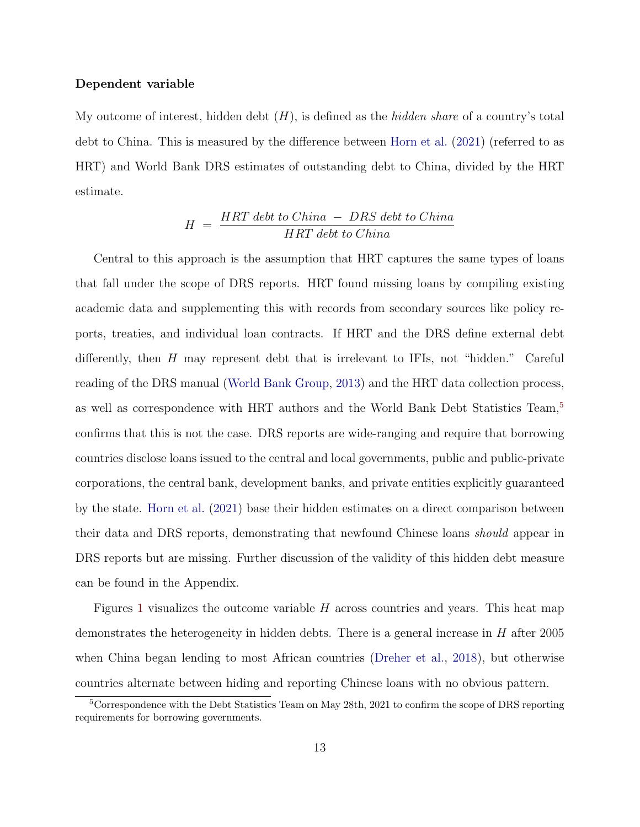#### Dependent variable

My outcome of interest, hidden debt  $(H)$ , is defined as the *hidden share* of a country's total debt to China. This is measured by the difference between Horn et al. (2021) (referred to as HRT) and World Bank DRS estimates of outstanding debt to China, divided by the HRT estimate.

$$
H = \frac{HRT \; debt \; to \; China \; - \; DRS \; debt \; to \; China}{HRT \; debt \; to \; China}
$$

Central to this approach is the assumption that HRT captures the same types of loans that fall under the scope of DRS reports. HRT found missing loans by compiling existing academic data and supplementing this with records from secondary sources like policy reports, treaties, and individual loan contracts. If HRT and the DRS define external debt differently, then H may represent debt that is irrelevant to IFIs, not "hidden." Careful reading of the DRS manual (World Bank Group, 2013) and the HRT data collection process, as well as correspondence with HRT authors and the World Bank Debt Statistics Team,<sup>5</sup> confirms that this is not the case. DRS reports are wide-ranging and require that borrowing countries disclose loans issued to the central and local governments, public and public-private corporations, the central bank, development banks, and private entities explicitly guaranteed by the state. Horn et al. (2021) base their hidden estimates on a direct comparison between their data and DRS reports, demonstrating that newfound Chinese loans should appear in DRS reports but are missing. Further discussion of the validity of this hidden debt measure can be found in the Appendix.

Figures 1 visualizes the outcome variable  $H$  across countries and years. This heat map demonstrates the heterogeneity in hidden debts. There is a general increase in  $H$  after 2005 when China began lending to most African countries (Dreher et al., 2018), but otherwise countries alternate between hiding and reporting Chinese loans with no obvious pattern.

<sup>&</sup>lt;sup>5</sup>Correspondence with the Debt Statistics Team on May 28th, 2021 to confirm the scope of DRS reporting requirements for borrowing governments.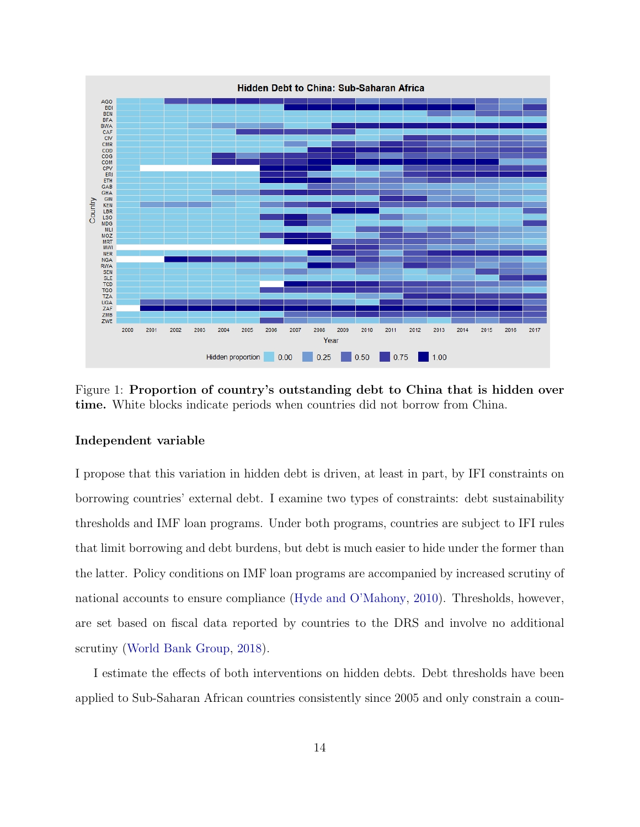

Figure 1: Proportion of country's outstanding debt to China that is hidden over time. White blocks indicate periods when countries did not borrow from China.

#### Independent variable

I propose that this variation in hidden debt is driven, at least in part, by IFI constraints on borrowing countries' external debt. I examine two types of constraints: debt sustainability thresholds and IMF loan programs. Under both programs, countries are subject to IFI rules that limit borrowing and debt burdens, but debt is much easier to hide under the former than the latter. Policy conditions on IMF loan programs are accompanied by increased scrutiny of national accounts to ensure compliance (Hyde and O'Mahony, 2010). Thresholds, however, are set based on fiscal data reported by countries to the DRS and involve no additional scrutiny (World Bank Group, 2018).

I estimate the effects of both interventions on hidden debts. Debt thresholds have been applied to Sub-Saharan African countries consistently since 2005 and only constrain a coun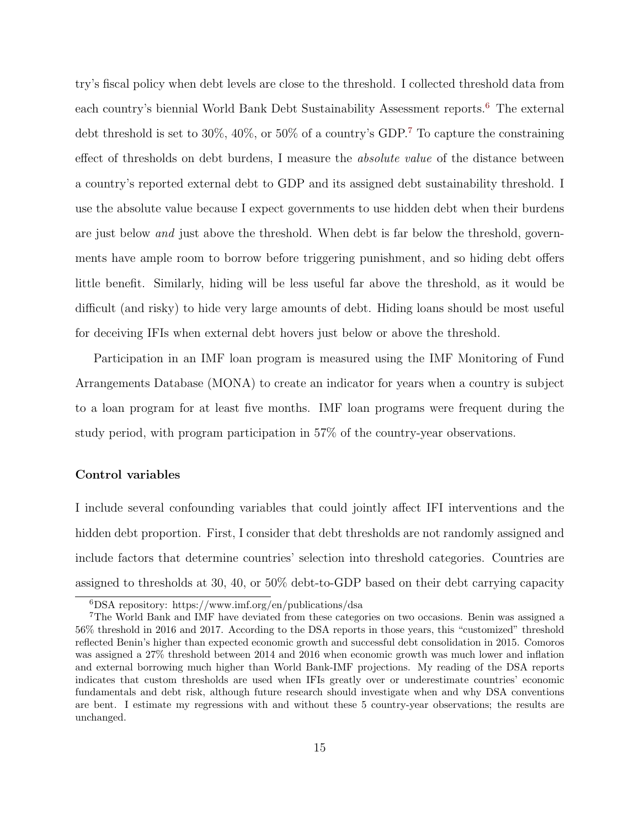try's fiscal policy when debt levels are close to the threshold. I collected threshold data from each country's biennial World Bank Debt Sustainability Assessment reports.<sup>6</sup> The external debt threshold is set to 30%, 40%, or 50% of a country's GDP.7 To capture the constraining effect of thresholds on debt burdens, I measure the absolute value of the distance between a country's reported external debt to GDP and its assigned debt sustainability threshold. I use the absolute value because I expect governments to use hidden debt when their burdens are just below *and* just above the threshold. When debt is far below the threshold, governments have ample room to borrow before triggering punishment, and so hiding debt offers little benefit. Similarly, hiding will be less useful far above the threshold, as it would be difficult (and risky) to hide very large amounts of debt. Hiding loans should be most useful for deceiving IFIs when external debt hovers just below or above the threshold.

Participation in an IMF loan program is measured using the IMF Monitoring of Fund Arrangements Database (MONA) to create an indicator for years when a country is subject to a loan program for at least five months. IMF loan programs were frequent during the study period, with program participation in 57% of the country-year observations.

#### Control variables

I include several confounding variables that could jointly affect IFI interventions and the hidden debt proportion. First, I consider that debt thresholds are not randomly assigned and include factors that determine countries' selection into threshold categories. Countries are assigned to thresholds at 30, 40, or 50% debt-to-GDP based on their debt carrying capacity

<sup>6</sup>DSA repository: https://www.imf.org/en/publications/dsa

<sup>7</sup>The World Bank and IMF have deviated from these categories on two occasions. Benin was assigned a 56% threshold in 2016 and 2017. According to the DSA reports in those years, this "customized" threshold reflected Benin's higher than expected economic growth and successful debt consolidation in 2015. Comoros was assigned a 27% threshold between 2014 and 2016 when economic growth was much lower and inflation and external borrowing much higher than World Bank-IMF projections. My reading of the DSA reports indicates that custom thresholds are used when IFIs greatly over or underestimate countries' economic fundamentals and debt risk, although future research should investigate when and why DSA conventions are bent. I estimate my regressions with and without these 5 country-year observations; the results are unchanged.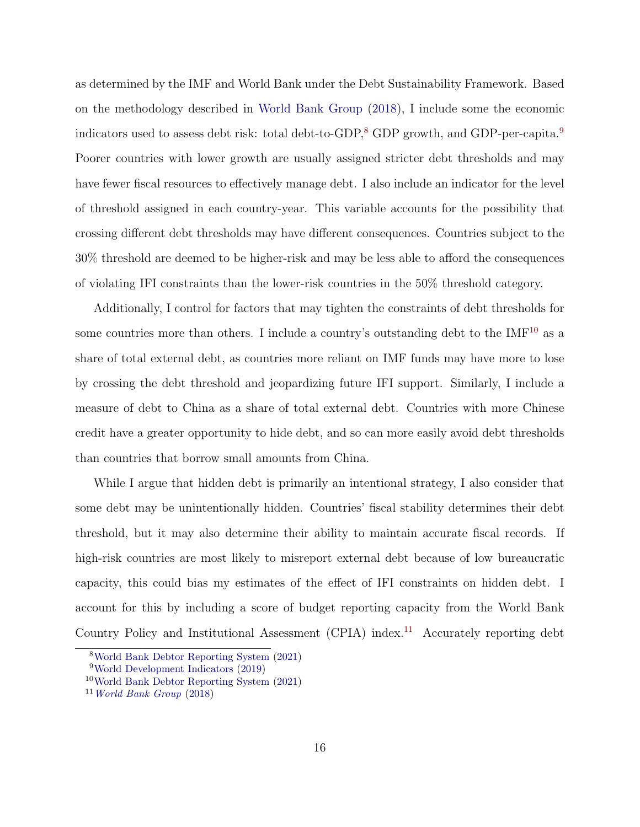as determined by the IMF and World Bank under the Debt Sustainability Framework. Based on the methodology described in World Bank Group (2018), I include some the economic indicators used to assess debt risk: total debt-to-GDP,<sup>8</sup> GDP growth, and GDP-per-capita.<sup>9</sup> Poorer countries with lower growth are usually assigned stricter debt thresholds and may have fewer fiscal resources to effectively manage debt. I also include an indicator for the level of threshold assigned in each country-year. This variable accounts for the possibility that crossing different debt thresholds may have different consequences. Countries subject to the 30% threshold are deemed to be higher-risk and may be less able to afford the consequences of violating IFI constraints than the lower-risk countries in the 50% threshold category.

Additionally, I control for factors that may tighten the constraints of debt thresholds for some countries more than others. I include a country's outstanding debt to the  $IMF^{10}$  as a share of total external debt, as countries more reliant on IMF funds may have more to lose by crossing the debt threshold and jeopardizing future IFI support. Similarly, I include a measure of debt to China as a share of total external debt. Countries with more Chinese credit have a greater opportunity to hide debt, and so can more easily avoid debt thresholds than countries that borrow small amounts from China.

While I argue that hidden debt is primarily an intentional strategy, I also consider that some debt may be unintentionally hidden. Countries' fiscal stability determines their debt threshold, but it may also determine their ability to maintain accurate fiscal records. If high-risk countries are most likely to misreport external debt because of low bureaucratic capacity, this could bias my estimates of the effect of IFI constraints on hidden debt. I account for this by including a score of budget reporting capacity from the World Bank Country Policy and Institutional Assessment (CPIA) index.11 Accurately reporting debt

<sup>8</sup>World Bank Debtor Reporting System (2021)

<sup>9</sup>World Development Indicators (2019)

<sup>10</sup>World Bank Debtor Reporting System (2021)

 $11$  World Bank Group (2018)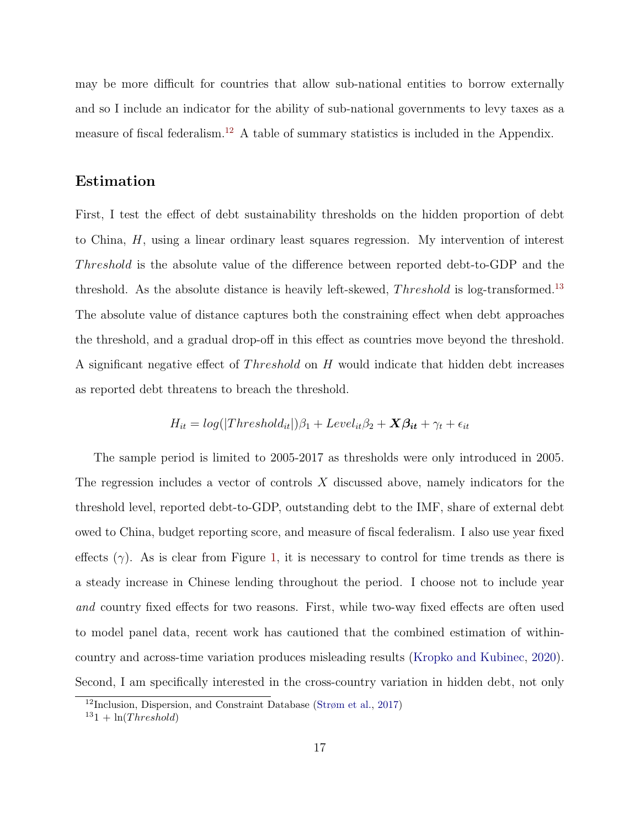may be more difficult for countries that allow sub-national entities to borrow externally and so I include an indicator for the ability of sub-national governments to levy taxes as a measure of fiscal federalism.12 A table of summary statistics is included in the Appendix.

### Estimation

First, I test the effect of debt sustainability thresholds on the hidden proportion of debt to China, H, using a linear ordinary least squares regression. My intervention of interest Threshold is the absolute value of the difference between reported debt-to-GDP and the threshold. As the absolute distance is heavily left-skewed,  $Threshold$  is log-transformed.<sup>13</sup> The absolute value of distance captures both the constraining effect when debt approaches the threshold, and a gradual drop-off in this effect as countries move beyond the threshold. A significant negative effect of  $Threshold$  on  $H$  would indicate that hidden debt increases as reported debt threatens to breach the threshold.

$$
H_{it} = log(|Threshold_{it}|)\beta_1 + Level_{it}\beta_2 + \mathbf{X}\beta_{it} + \gamma_t + \epsilon_{it}
$$

The sample period is limited to 2005-2017 as thresholds were only introduced in 2005. The regression includes a vector of controls X discussed above, namely indicators for the threshold level, reported debt-to-GDP, outstanding debt to the IMF, share of external debt owed to China, budget reporting score, and measure of fiscal federalism. I also use year fixed effects  $(\gamma)$ . As is clear from Figure 1, it is necessary to control for time trends as there is a steady increase in Chinese lending throughout the period. I choose not to include year and country fixed effects for two reasons. First, while two-way fixed effects are often used to model panel data, recent work has cautioned that the combined estimation of withincountry and across-time variation produces misleading results (Kropko and Kubinec, 2020). Second, I am specifically interested in the cross-country variation in hidden debt, not only

 $12$ Inclusion, Dispersion, and Constraint Database (Strøm et al., 2017)

 $131 + \ln(Threshold)$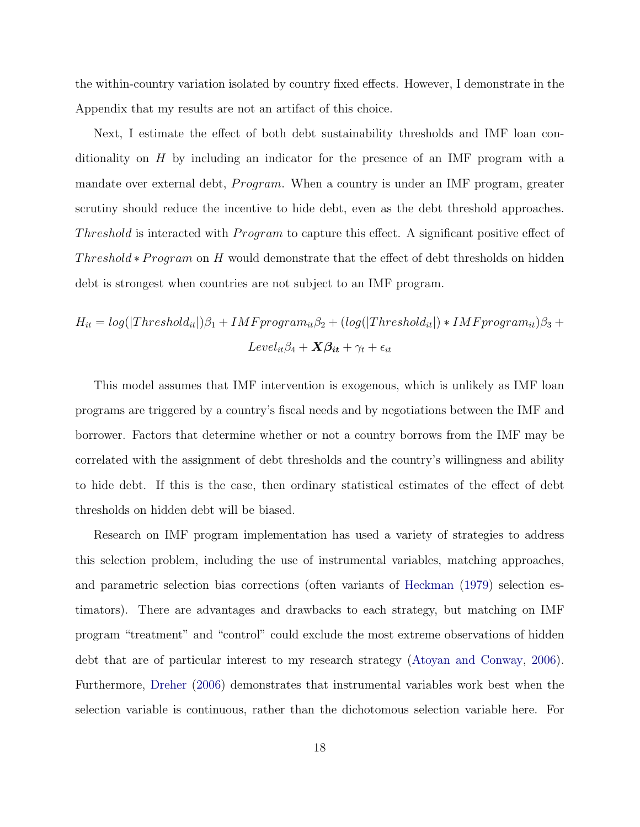the within-country variation isolated by country fixed effects. However, I demonstrate in the Appendix that my results are not an artifact of this choice.

Next, I estimate the effect of both debt sustainability thresholds and IMF loan conditionality on H by including an indicator for the presence of an IMF program with a mandate over external debt,  $Program.$  When a country is under an IMF program, greater scrutiny should reduce the incentive to hide debt, even as the debt threshold approaches. Threshold is interacted with *Program* to capture this effect. A significant positive effect of Threshold  $*Program on H$  would demonstrate that the effect of debt thresholds on hidden debt is strongest when countries are not subject to an IMF program.

$$
H_{it} = log(|Threshold_{it}|)\beta_1 + IMF program_{it}\beta_2 + (log(|Threshold_{it}|) * IMF program_{it})\beta_3 +
$$

$$
Level_{it}\beta_4 + X\beta_{it} + \gamma_t + \epsilon_{it}
$$

This model assumes that IMF intervention is exogenous, which is unlikely as IMF loan programs are triggered by a country's fiscal needs and by negotiations between the IMF and borrower. Factors that determine whether or not a country borrows from the IMF may be correlated with the assignment of debt thresholds and the country's willingness and ability to hide debt. If this is the case, then ordinary statistical estimates of the effect of debt thresholds on hidden debt will be biased.

Research on IMF program implementation has used a variety of strategies to address this selection problem, including the use of instrumental variables, matching approaches, and parametric selection bias corrections (often variants of Heckman (1979) selection estimators). There are advantages and drawbacks to each strategy, but matching on IMF program "treatment" and "control" could exclude the most extreme observations of hidden debt that are of particular interest to my research strategy (Atoyan and Conway, 2006). Furthermore, Dreher (2006) demonstrates that instrumental variables work best when the selection variable is continuous, rather than the dichotomous selection variable here. For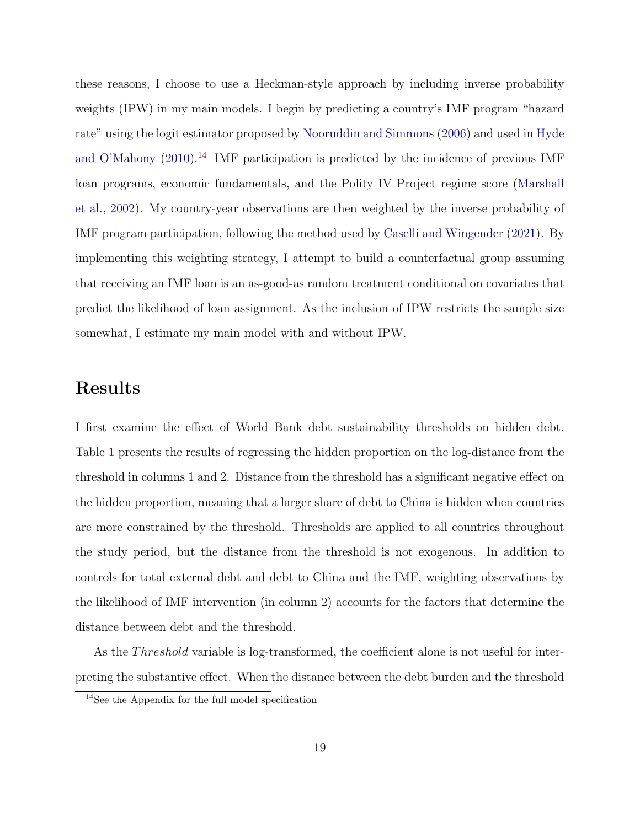these reasons, I choose to use a Heckman-style approach by including inverse probability weights (IPW) in my main models. I begin by predicting a country's IMF program "hazard rate" using the logit estimator proposed by Nooruddin and Simmons (2006) and used in Hyde and O'Mahony  $(2010).<sup>14</sup>$  IMF participation is predicted by the incidence of previous IMF loan programs, economic fundamentals, and the Polity IV Project regime score (Marshall et al., 2002). My country-year observations are then weighted by the inverse probability of IMF program participation, following the method used by Caselli and Wingender (2021). By implementing this weighting strategy, I attempt to build a counterfactual group assuming that receiving an IMF loan is an as-good-as random treatment conditional on covariates that predict the likelihood of loan assignment. As the inclusion of IPW restricts the sample size somewhat, I estimate my main model with and without IPW.

# Results

I first examine the effect of World Bank debt sustainability thresholds on hidden debt. Table 1 presents the results of regressing the hidden proportion on the log-distance from the threshold in columns 1 and 2. Distance from the threshold has a significant negative effect on the hidden proportion, meaning that a larger share of debt to China is hidden when countries are more constrained by the threshold. Thresholds are applied to all countries throughout the study period, but the distance from the threshold is not exogenous. In addition to controls for total external debt and debt to China and the IMF, weighting observations by the likelihood of IMF intervention (in column 2) accounts for the factors that determine the distance between debt and the threshold.

As the *Threshold* variable is log-transformed, the coefficient alone is not useful for interpreting the substantive effect. When the distance between the debt burden and the threshold

<sup>14</sup>See the Appendix for the full model specification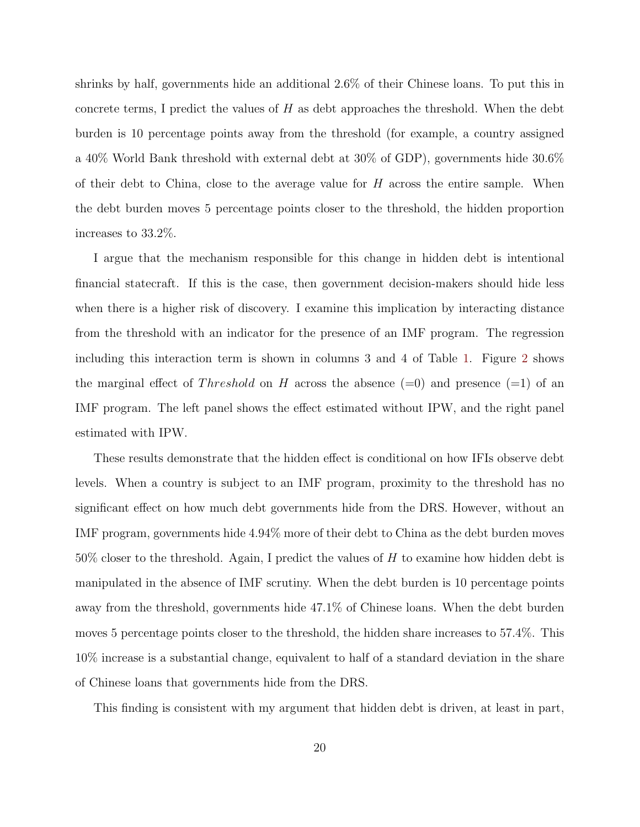shrinks by half, governments hide an additional 2.6% of their Chinese loans. To put this in concrete terms, I predict the values of  $H$  as debt approaches the threshold. When the debt burden is 10 percentage points away from the threshold (for example, a country assigned a 40% World Bank threshold with external debt at 30% of GDP), governments hide 30.6% of their debt to China, close to the average value for  $H$  across the entire sample. When the debt burden moves 5 percentage points closer to the threshold, the hidden proportion increases to 33.2%.

I argue that the mechanism responsible for this change in hidden debt is intentional financial statecraft. If this is the case, then government decision-makers should hide less when there is a higher risk of discovery. I examine this implication by interacting distance from the threshold with an indicator for the presence of an IMF program. The regression including this interaction term is shown in columns 3 and 4 of Table 1. Figure 2 shows the marginal effect of *Threshold* on H across the absence  $(=0)$  and presence  $(=1)$  of an IMF program. The left panel shows the effect estimated without IPW, and the right panel estimated with IPW.

These results demonstrate that the hidden effect is conditional on how IFIs observe debt levels. When a country is subject to an IMF program, proximity to the threshold has no significant effect on how much debt governments hide from the DRS. However, without an IMF program, governments hide 4.94% more of their debt to China as the debt burden moves  $50\%$  closer to the threshold. Again, I predict the values of H to examine how hidden debt is manipulated in the absence of IMF scrutiny. When the debt burden is 10 percentage points away from the threshold, governments hide 47.1% of Chinese loans. When the debt burden moves 5 percentage points closer to the threshold, the hidden share increases to 57.4%. This 10% increase is a substantial change, equivalent to half of a standard deviation in the share of Chinese loans that governments hide from the DRS.

This finding is consistent with my argument that hidden debt is driven, at least in part,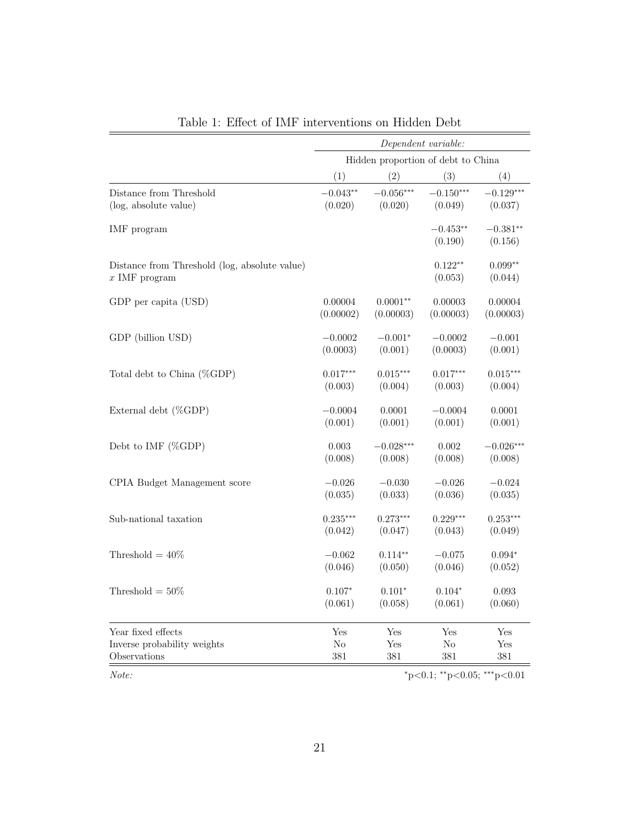|                                                                  |                                    | Dependent variable: |                       |                       |  |  |
|------------------------------------------------------------------|------------------------------------|---------------------|-----------------------|-----------------------|--|--|
|                                                                  | Hidden proportion of debt to China |                     |                       |                       |  |  |
|                                                                  | (1)                                | (2)                 | (3)                   | (4)                   |  |  |
| Distance from Threshold                                          | $-0.043**$                         | $-0.056***$         | $-0.150***$           | $-0.129***$           |  |  |
| (log, absolute value)                                            | (0.020)                            | (0.020)             | (0.049)               | (0.037)               |  |  |
| IMF program                                                      |                                    |                     | $-0.453**$<br>(0.190) | $-0.381**$<br>(0.156) |  |  |
| Distance from Threshold (log, absolute value)<br>$x$ IMF program |                                    |                     | $0.122**$<br>(0.053)  | $0.099**$<br>(0.044)  |  |  |
| GDP per capita (USD)                                             | 0.00004                            | $0.0001**$          | 0.00003               | 0.00004               |  |  |
|                                                                  | (0.00002)                          | (0.00003)           | (0.00003)             | (0.00003)             |  |  |
| GDP (billion USD)                                                | $-0.0002$                          | $-0.001*$           | $-0.0002$             | $-0.001$              |  |  |
|                                                                  | (0.0003)                           | (0.001)             | (0.0003)              | (0.001)               |  |  |
| Total debt to China (%GDP)                                       | $0.017***$                         | $0.015***$          | $0.017***$            | $0.015***$            |  |  |
|                                                                  | (0.003)                            | (0.004)             | (0.003)               | (0.004)               |  |  |
| External debt (%GDP)                                             | $-0.0004$                          | 0.0001              | $-0.0004$             | 0.0001                |  |  |
|                                                                  | (0.001)                            | (0.001)             | (0.001)               | (0.001)               |  |  |
| Debt to IMF (%GDP)                                               | 0.003                              | $-0.028***$         | $0.002\,$             | $-0.026***$           |  |  |
|                                                                  | (0.008)                            | (0.008)             | (0.008)               | (0.008)               |  |  |
| CPIA Budget Management score                                     | $-0.026$                           | $-0.030$            | $-0.026$              | $-0.024$              |  |  |
|                                                                  | (0.035)                            | (0.033)             | (0.036)               | (0.035)               |  |  |
| Sub-national taxation                                            | $0.235***$                         | $0.273***$          | $0.229***$            | $0.253***$            |  |  |
|                                                                  | (0.042)                            | (0.047)             | (0.043)               | (0.049)               |  |  |
| Threshold = $40\%$                                               | $-0.062$                           | $0.114**$           | $-0.075$              | $0.094*$              |  |  |
|                                                                  | (0.046)                            | (0.050)             | (0.046)               | (0.052)               |  |  |
| Threshold = $50\%$                                               | $0.107*$                           | $0.101*$            | $0.104*$              | 0.093                 |  |  |
|                                                                  | (0.061)                            | (0.058)             | (0.061)               | (0.060)               |  |  |
| Year fixed effects                                               | Yes                                | Yes                 | Yes                   | Yes                   |  |  |
| Inverse probability weights                                      | $\rm No$                           | $_{\rm Yes}$        | $\rm No$              | Yes                   |  |  |
| Observations                                                     | 381                                | 381                 | 381                   | 381                   |  |  |

Table 1: Effect of IMF interventions on Hidden Debt

Note: \*\*p<0.05; \*\*\*p<0.05; \*\*\*p<0.01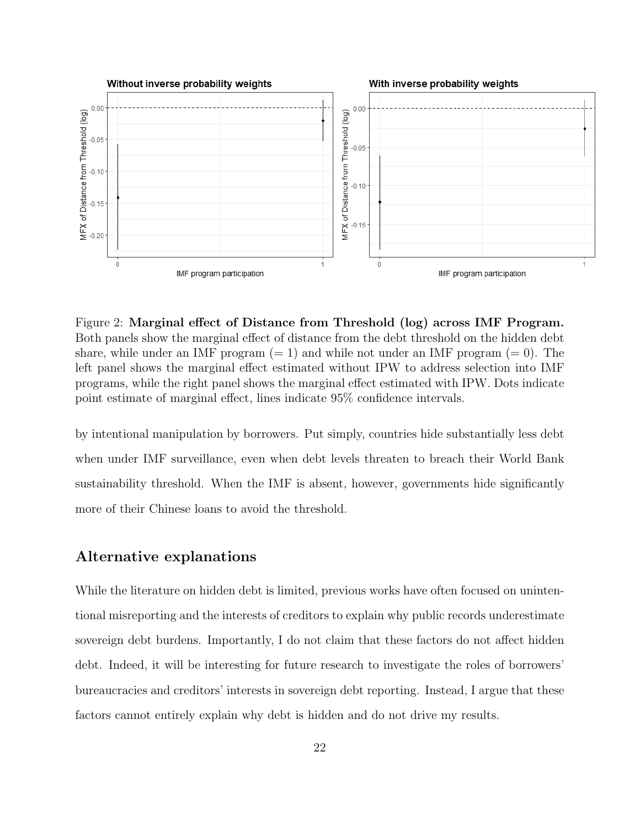

Figure 2: Marginal effect of Distance from Threshold (log) across IMF Program. Both panels show the marginal effect of distance from the debt threshold on the hidden debt share, while under an IMF program  $(= 1)$  and while not under an IMF program  $(= 0)$ . The left panel shows the marginal effect estimated without IPW to address selection into IMF programs, while the right panel shows the marginal effect estimated with IPW. Dots indicate point estimate of marginal effect, lines indicate 95% confidence intervals.

by intentional manipulation by borrowers. Put simply, countries hide substantially less debt when under IMF surveillance, even when debt levels threaten to breach their World Bank sustainability threshold. When the IMF is absent, however, governments hide significantly more of their Chinese loans to avoid the threshold.

### Alternative explanations

While the literature on hidden debt is limited, previous works have often focused on unintentional misreporting and the interests of creditors to explain why public records underestimate sovereign debt burdens. Importantly, I do not claim that these factors do not affect hidden debt. Indeed, it will be interesting for future research to investigate the roles of borrowers' bureaucracies and creditors' interests in sovereign debt reporting. Instead, I argue that these factors cannot entirely explain why debt is hidden and do not drive my results.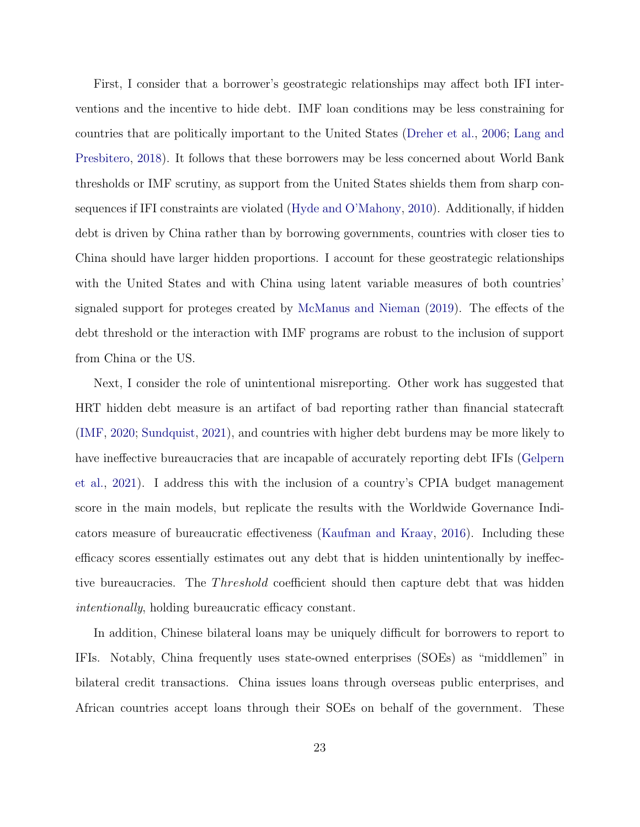First, I consider that a borrower's geostrategic relationships may affect both IFI interventions and the incentive to hide debt. IMF loan conditions may be less constraining for countries that are politically important to the United States (Dreher et al., 2006; Lang and Presbitero, 2018). It follows that these borrowers may be less concerned about World Bank thresholds or IMF scrutiny, as support from the United States shields them from sharp consequences if IFI constraints are violated (Hyde and O'Mahony, 2010). Additionally, if hidden debt is driven by China rather than by borrowing governments, countries with closer ties to China should have larger hidden proportions. I account for these geostrategic relationships with the United States and with China using latent variable measures of both countries' signaled support for proteges created by McManus and Nieman (2019). The effects of the debt threshold or the interaction with IMF programs are robust to the inclusion of support from China or the US.

Next, I consider the role of unintentional misreporting. Other work has suggested that HRT hidden debt measure is an artifact of bad reporting rather than financial statecraft (IMF, 2020; Sundquist, 2021), and countries with higher debt burdens may be more likely to have ineffective bureaucracies that are incapable of accurately reporting debt IFIs (Gelpern et al., 2021). I address this with the inclusion of a country's CPIA budget management score in the main models, but replicate the results with the Worldwide Governance Indicators measure of bureaucratic effectiveness (Kaufman and Kraay, 2016). Including these efficacy scores essentially estimates out any debt that is hidden unintentionally by ineffective bureaucracies. The *Threshold* coefficient should then capture debt that was hidden intentionally, holding bureaucratic efficacy constant.

In addition, Chinese bilateral loans may be uniquely difficult for borrowers to report to IFIs. Notably, China frequently uses state-owned enterprises (SOEs) as "middlemen" in bilateral credit transactions. China issues loans through overseas public enterprises, and African countries accept loans through their SOEs on behalf of the government. These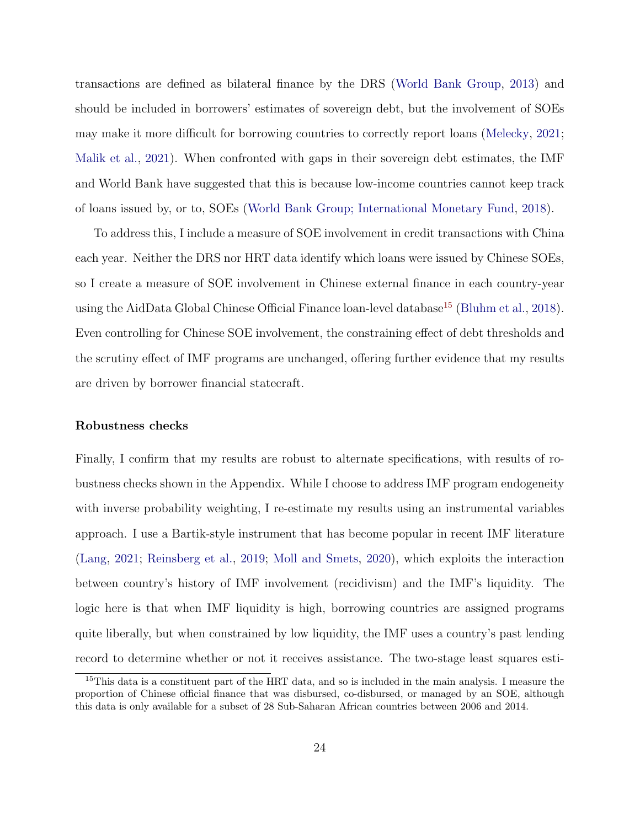transactions are defined as bilateral finance by the DRS (World Bank Group, 2013) and should be included in borrowers' estimates of sovereign debt, but the involvement of SOEs may make it more difficult for borrowing countries to correctly report loans (Melecky, 2021; Malik et al., 2021). When confronted with gaps in their sovereign debt estimates, the IMF and World Bank have suggested that this is because low-income countries cannot keep track of loans issued by, or to, SOEs (World Bank Group; International Monetary Fund, 2018).

To address this, I include a measure of SOE involvement in credit transactions with China each year. Neither the DRS nor HRT data identify which loans were issued by Chinese SOEs, so I create a measure of SOE involvement in Chinese external finance in each country-year using the AidData Global Chinese Official Finance loan-level database<sup>15</sup> (Bluhm et al., 2018). Even controlling for Chinese SOE involvement, the constraining effect of debt thresholds and the scrutiny effect of IMF programs are unchanged, offering further evidence that my results are driven by borrower financial statecraft.

#### Robustness checks

Finally, I confirm that my results are robust to alternate specifications, with results of robustness checks shown in the Appendix. While I choose to address IMF program endogeneity with inverse probability weighting, I re-estimate my results using an instrumental variables approach. I use a Bartik-style instrument that has become popular in recent IMF literature (Lang, 2021; Reinsberg et al., 2019; Moll and Smets, 2020), which exploits the interaction between country's history of IMF involvement (recidivism) and the IMF's liquidity. The logic here is that when IMF liquidity is high, borrowing countries are assigned programs quite liberally, but when constrained by low liquidity, the IMF uses a country's past lending record to determine whether or not it receives assistance. The two-stage least squares esti-

<sup>&</sup>lt;sup>15</sup>This data is a constituent part of the HRT data, and so is included in the main analysis. I measure the proportion of Chinese official finance that was disbursed, co-disbursed, or managed by an SOE, although this data is only available for a subset of 28 Sub-Saharan African countries between 2006 and 2014.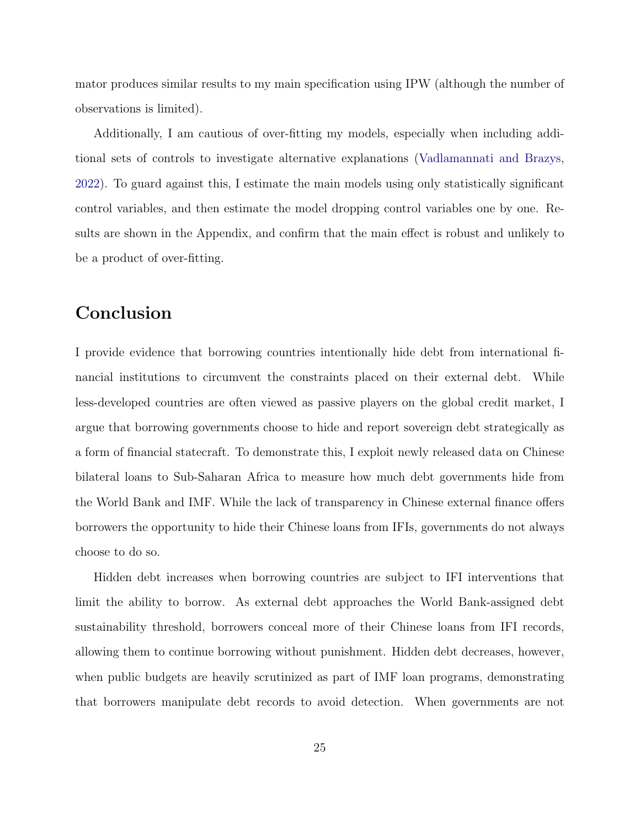mator produces similar results to my main specification using IPW (although the number of observations is limited).

Additionally, I am cautious of over-fitting my models, especially when including additional sets of controls to investigate alternative explanations (Vadlamannati and Brazys, 2022). To guard against this, I estimate the main models using only statistically significant control variables, and then estimate the model dropping control variables one by one. Results are shown in the Appendix, and confirm that the main effect is robust and unlikely to be a product of over-fitting.

# Conclusion

I provide evidence that borrowing countries intentionally hide debt from international financial institutions to circumvent the constraints placed on their external debt. While less-developed countries are often viewed as passive players on the global credit market, I argue that borrowing governments choose to hide and report sovereign debt strategically as a form of financial statecraft. To demonstrate this, I exploit newly released data on Chinese bilateral loans to Sub-Saharan Africa to measure how much debt governments hide from the World Bank and IMF. While the lack of transparency in Chinese external finance offers borrowers the opportunity to hide their Chinese loans from IFIs, governments do not always choose to do so.

Hidden debt increases when borrowing countries are subject to IFI interventions that limit the ability to borrow. As external debt approaches the World Bank-assigned debt sustainability threshold, borrowers conceal more of their Chinese loans from IFI records, allowing them to continue borrowing without punishment. Hidden debt decreases, however, when public budgets are heavily scrutinized as part of IMF loan programs, demonstrating that borrowers manipulate debt records to avoid detection. When governments are not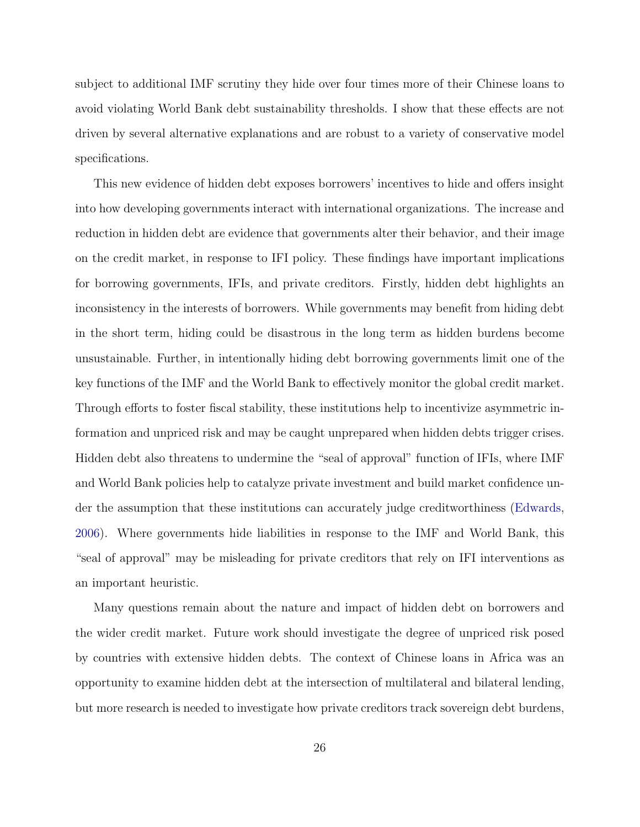subject to additional IMF scrutiny they hide over four times more of their Chinese loans to avoid violating World Bank debt sustainability thresholds. I show that these effects are not driven by several alternative explanations and are robust to a variety of conservative model specifications.

This new evidence of hidden debt exposes borrowers' incentives to hide and offers insight into how developing governments interact with international organizations. The increase and reduction in hidden debt are evidence that governments alter their behavior, and their image on the credit market, in response to IFI policy. These findings have important implications for borrowing governments, IFIs, and private creditors. Firstly, hidden debt highlights an inconsistency in the interests of borrowers. While governments may benefit from hiding debt in the short term, hiding could be disastrous in the long term as hidden burdens become unsustainable. Further, in intentionally hiding debt borrowing governments limit one of the key functions of the IMF and the World Bank to effectively monitor the global credit market. Through efforts to foster fiscal stability, these institutions help to incentivize asymmetric information and unpriced risk and may be caught unprepared when hidden debts trigger crises. Hidden debt also threatens to undermine the "seal of approval" function of IFIs, where IMF and World Bank policies help to catalyze private investment and build market confidence under the assumption that these institutions can accurately judge creditworthiness (Edwards, 2006). Where governments hide liabilities in response to the IMF and World Bank, this "seal of approval" may be misleading for private creditors that rely on IFI interventions as an important heuristic.

Many questions remain about the nature and impact of hidden debt on borrowers and the wider credit market. Future work should investigate the degree of unpriced risk posed by countries with extensive hidden debts. The context of Chinese loans in Africa was an opportunity to examine hidden debt at the intersection of multilateral and bilateral lending, but more research is needed to investigate how private creditors track sovereign debt burdens,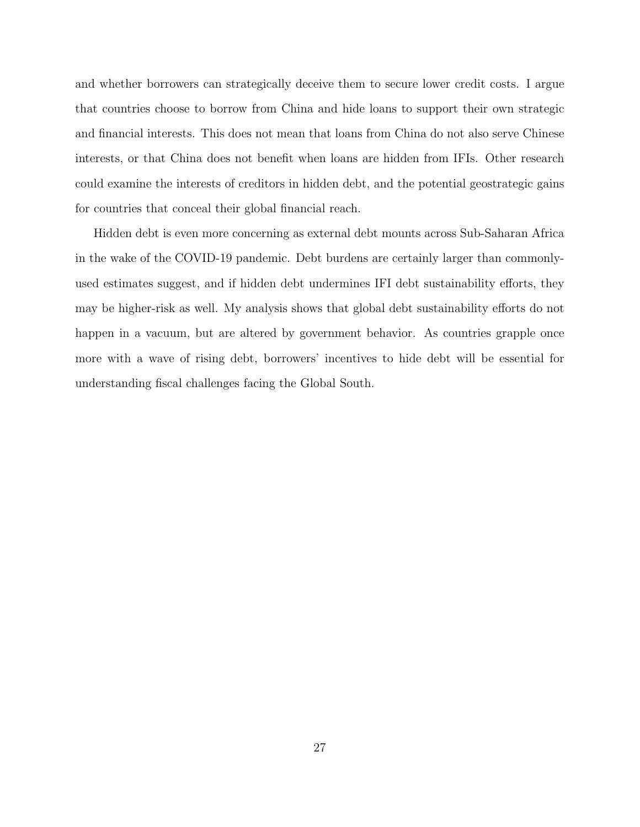and whether borrowers can strategically deceive them to secure lower credit costs. I argue that countries choose to borrow from China and hide loans to support their own strategic and financial interests. This does not mean that loans from China do not also serve Chinese interests, or that China does not benefit when loans are hidden from IFIs. Other research could examine the interests of creditors in hidden debt, and the potential geostrategic gains for countries that conceal their global financial reach.

Hidden debt is even more concerning as external debt mounts across Sub-Saharan Africa in the wake of the COVID-19 pandemic. Debt burdens are certainly larger than commonlyused estimates suggest, and if hidden debt undermines IFI debt sustainability efforts, they may be higher-risk as well. My analysis shows that global debt sustainability efforts do not happen in a vacuum, but are altered by government behavior. As countries grapple once more with a wave of rising debt, borrowers' incentives to hide debt will be essential for understanding fiscal challenges facing the Global South.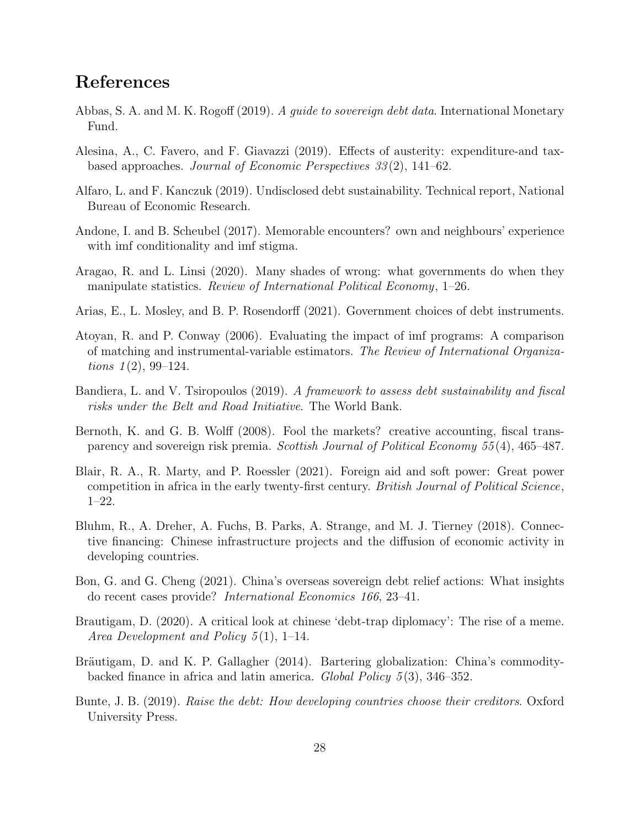# References

- Abbas, S. A. and M. K. Rogoff (2019). A *guide to sovereign debt data*. International Monetary Fund.
- Alesina, A., C. Favero, and F. Giavazzi (2019). Effects of austerity: expenditure-and taxbased approaches. Journal of Economic Perspectives 33 (2), 141–62.
- Alfaro, L. and F. Kanczuk (2019). Undisclosed debt sustainability. Technical report, National Bureau of Economic Research.
- Andone, I. and B. Scheubel (2017). Memorable encounters? own and neighbours' experience with imf conditionality and imf stigma.
- Aragao, R. and L. Linsi (2020). Many shades of wrong: what governments do when they manipulate statistics. Review of International Political Economy, 1–26.
- Arias, E., L. Mosley, and B. P. Rosendorff (2021). Government choices of debt instruments.
- Atoyan, R. and P. Conway (2006). Evaluating the impact of imf programs: A comparison of matching and instrumental-variable estimators. The Review of International Organiza*tions*  $1(2)$ , 99–124.
- Bandiera, L. and V. Tsiropoulos (2019). A framework to assess debt sustainability and fiscal risks under the Belt and Road Initiative. The World Bank.
- Bernoth, K. and G. B. Wolff (2008). Fool the markets? creative accounting, fiscal transparency and sovereign risk premia. Scottish Journal of Political Economy 55(4), 465–487.
- Blair, R. A., R. Marty, and P. Roessler (2021). Foreign aid and soft power: Great power competition in africa in the early twenty-first century. British Journal of Political Science, 1–22.
- Bluhm, R., A. Dreher, A. Fuchs, B. Parks, A. Strange, and M. J. Tierney (2018). Connective financing: Chinese infrastructure projects and the diffusion of economic activity in developing countries.
- Bon, G. and G. Cheng (2021). China's overseas sovereign debt relief actions: What insights do recent cases provide? International Economics 166, 23–41.
- Brautigam, D. (2020). A critical look at chinese 'debt-trap diplomacy': The rise of a meme. Area Development and Policy 5(1), 1–14.
- Bräutigam, D. and K. P. Gallagher (2014). Bartering globalization: China's commoditybacked finance in africa and latin america. Global Policy  $5(3)$ , 346–352.
- Bunte, J. B. (2019). Raise the debt: How developing countries choose their creditors. Oxford University Press.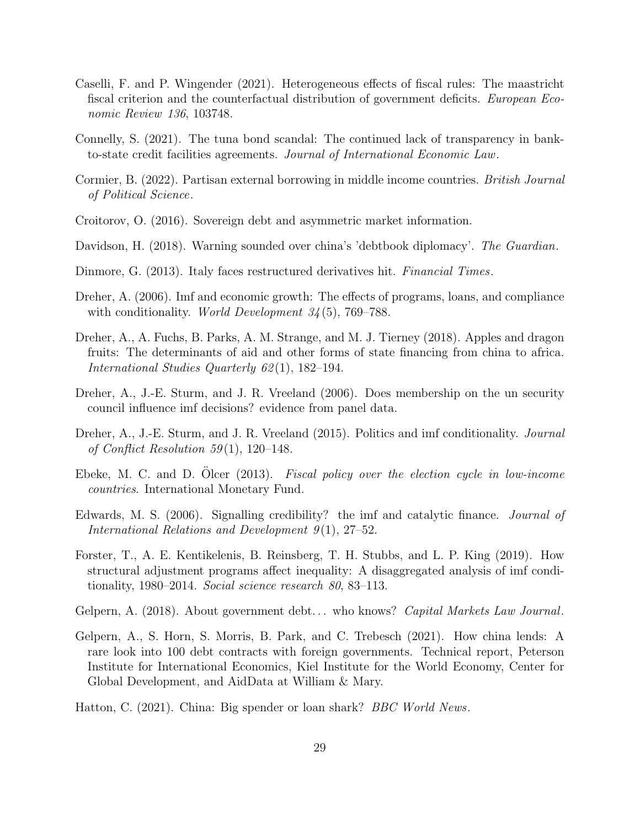- Caselli, F. and P. Wingender (2021). Heterogeneous effects of fiscal rules: The maastricht fiscal criterion and the counterfactual distribution of government deficits. European Economic Review 136, 103748.
- Connelly, S. (2021). The tuna bond scandal: The continued lack of transparency in bankto-state credit facilities agreements. Journal of International Economic Law.
- Cormier, B. (2022). Partisan external borrowing in middle income countries. British Journal of Political Science.
- Croitorov, O. (2016). Sovereign debt and asymmetric market information.
- Davidson, H. (2018). Warning sounded over china's 'debtbook diplomacy'. The Guardian.
- Dinmore, G. (2013). Italy faces restructured derivatives hit. Financial Times.
- Dreher, A. (2006). Imf and economic growth: The effects of programs, loans, and compliance with conditionality. *World Development*  $34(5)$ , 769–788.
- Dreher, A., A. Fuchs, B. Parks, A. M. Strange, and M. J. Tierney (2018). Apples and dragon fruits: The determinants of aid and other forms of state financing from china to africa. International Studies Quarterly 62(1), 182–194.
- Dreher, A., J.-E. Sturm, and J. R. Vreeland (2006). Does membership on the un security council influence imf decisions? evidence from panel data.
- Dreher, A., J.-E. Sturm, and J. R. Vreeland (2015). Politics and imf conditionality. *Journal* of Conflict Resolution 59(1), 120–148.
- Ebeke, M. C. and D. Olcer  $(2013)$ . *Fiscal policy over the election cycle in low-income* countries. International Monetary Fund.
- Edwards, M. S. (2006). Signalling credibility? the imf and catalytic finance. Journal of International Relations and Development  $9(1)$ , 27–52.
- Forster, T., A. E. Kentikelenis, B. Reinsberg, T. H. Stubbs, and L. P. King (2019). How structural adjustment programs affect inequality: A disaggregated analysis of imf conditionality, 1980–2014. Social science research 80, 83–113.
- Gelpern, A. (2018). About government debt... who knows? Capital Markets Law Journal.
- Gelpern, A., S. Horn, S. Morris, B. Park, and C. Trebesch (2021). How china lends: A rare look into 100 debt contracts with foreign governments. Technical report, Peterson Institute for International Economics, Kiel Institute for the World Economy, Center for Global Development, and AidData at William & Mary.
- Hatton, C. (2021). China: Big spender or loan shark? BBC World News.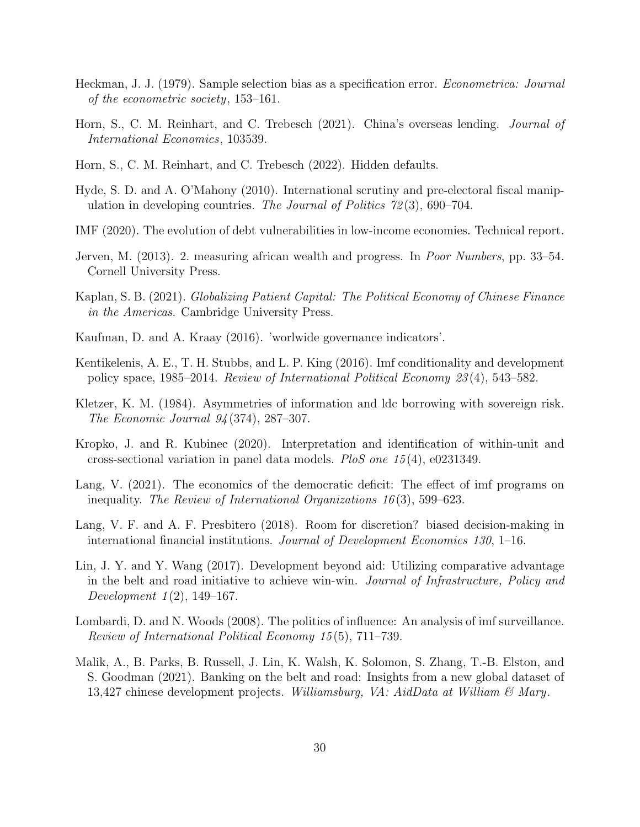- Heckman, J. J. (1979). Sample selection bias as a specification error. Econometrica: Journal of the econometric society, 153–161.
- Horn, S., C. M. Reinhart, and C. Trebesch (2021). China's overseas lending. Journal of International Economics, 103539.
- Horn, S., C. M. Reinhart, and C. Trebesch (2022). Hidden defaults.
- Hyde, S. D. and A. O'Mahony (2010). International scrutiny and pre-electoral fiscal manipulation in developing countries. The Journal of Politics  $72(3)$ , 690–704.
- IMF (2020). The evolution of debt vulnerabilities in low-income economies. Technical report.
- Jerven, M. (2013). 2. measuring african wealth and progress. In Poor Numbers, pp. 33–54. Cornell University Press.
- Kaplan, S. B. (2021). Globalizing Patient Capital: The Political Economy of Chinese Finance in the Americas. Cambridge University Press.
- Kaufman, D. and A. Kraay (2016). 'worlwide governance indicators'.
- Kentikelenis, A. E., T. H. Stubbs, and L. P. King (2016). Imf conditionality and development policy space, 1985–2014. Review of International Political Economy 23 (4), 543–582.
- Kletzer, K. M. (1984). Asymmetries of information and ldc borrowing with sovereign risk. The Economic Journal 94 (374), 287–307.
- Kropko, J. and R. Kubinec (2020). Interpretation and identification of within-unit and cross-sectional variation in panel data models. PloS one 15 (4), e0231349.
- Lang, V. (2021). The economics of the democratic deficit: The effect of imf programs on inequality. The Review of International Organizations  $16(3)$ , 599–623.
- Lang, V. F. and A. F. Presbitero (2018). Room for discretion? biased decision-making in international financial institutions. Journal of Development Economics 130, 1–16.
- Lin, J. Y. and Y. Wang (2017). Development beyond aid: Utilizing comparative advantage in the belt and road initiative to achieve win-win. Journal of Infrastructure, Policy and Development  $1(2)$ , 149–167.
- Lombardi, D. and N. Woods (2008). The politics of influence: An analysis of imf surveillance. Review of International Political Economy 15 (5), 711–739.
- Malik, A., B. Parks, B. Russell, J. Lin, K. Walsh, K. Solomon, S. Zhang, T.-B. Elston, and S. Goodman (2021). Banking on the belt and road: Insights from a new global dataset of 13,427 chinese development projects. Williamsburg, VA: AidData at William  $\mathcal{B}$  Mary.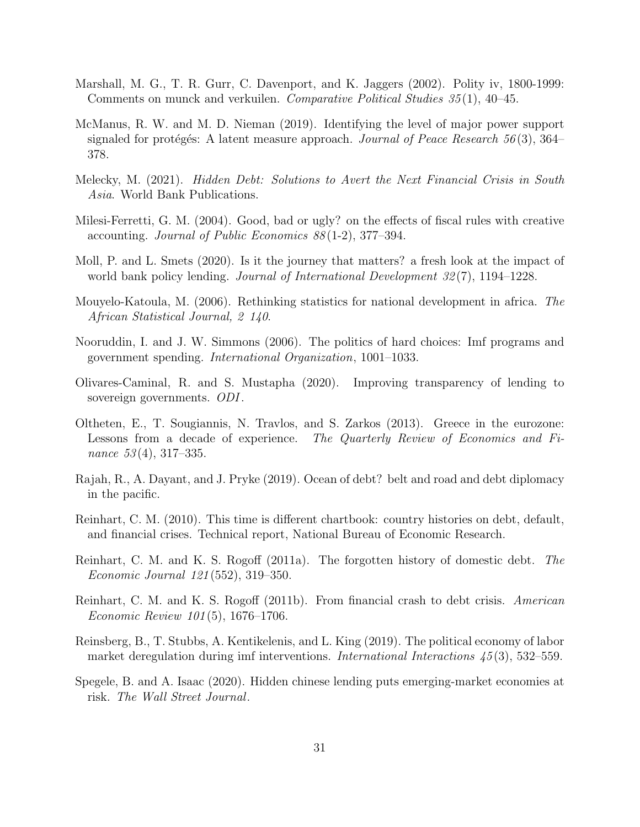- Marshall, M. G., T. R. Gurr, C. Davenport, and K. Jaggers (2002). Polity iv, 1800-1999: Comments on munck and verkuilen. *Comparative Political Studies 35* (1), 40–45.
- McManus, R. W. and M. D. Nieman (2019). Identifying the level of major power support signaled for protégés: A latent measure approach. *Journal of Peace Research* 56(3), 364– 378.
- Melecky, M. (2021). *Hidden Debt: Solutions to Avert the Next Financial Crisis in South* Asia. World Bank Publications.
- Milesi-Ferretti, G. M. (2004). Good, bad or ugly? on the effects of fiscal rules with creative accounting. Journal of Public Economics 88 (1-2), 377–394.
- Moll, P. and L. Smets (2020). Is it the journey that matters? a fresh look at the impact of world bank policy lending. *Journal of International Development 32(7)*, 1194–1228.
- Mouyelo-Katoula, M. (2006). Rethinking statistics for national development in africa. The African Statistical Journal, 2 140.
- Nooruddin, I. and J. W. Simmons (2006). The politics of hard choices: Imf programs and government spending. International Organization, 1001–1033.
- Olivares-Caminal, R. and S. Mustapha (2020). Improving transparency of lending to sovereign governments. ODI.
- Oltheten, E., T. Sougiannis, N. Travlos, and S. Zarkos (2013). Greece in the eurozone: Lessons from a decade of experience. The Quarterly Review of Economics and Finance 53(4), 317–335.
- Rajah, R., A. Dayant, and J. Pryke (2019). Ocean of debt? belt and road and debt diplomacy in the pacific.
- Reinhart, C. M. (2010). This time is different chartbook: country histories on debt, default, and financial crises. Technical report, National Bureau of Economic Research.
- Reinhart, C. M. and K. S. Rogoff (2011a). The forgotten history of domestic debt. The Economic Journal 121 (552), 319–350.
- Reinhart, C. M. and K. S. Rogoff (2011b). From financial crash to debt crisis. American Economic Review 101 (5), 1676–1706.
- Reinsberg, B., T. Stubbs, A. Kentikelenis, and L. King (2019). The political economy of labor market deregulation during imf interventions. *International Interactions* 45(3), 532–559.
- Spegele, B. and A. Isaac (2020). Hidden chinese lending puts emerging-market economies at risk. The Wall Street Journal.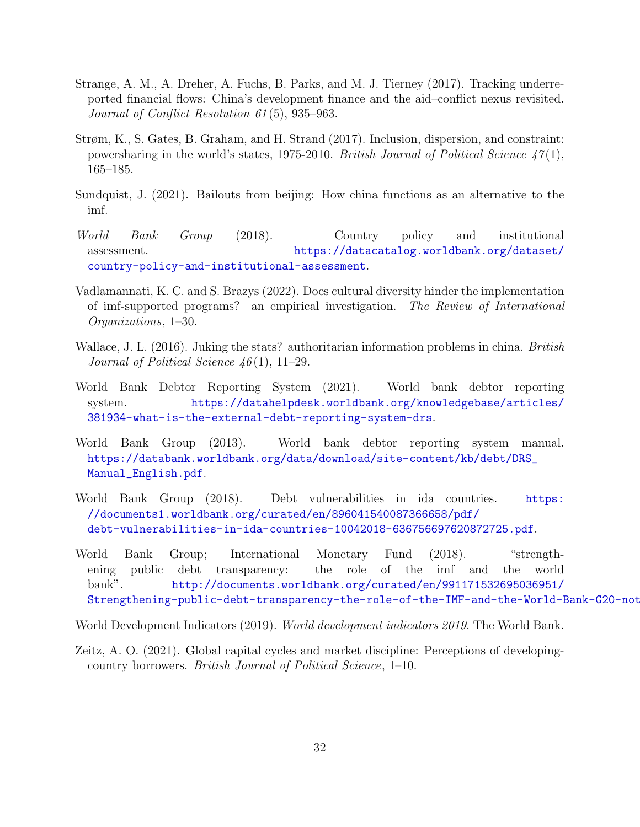- Strange, A. M., A. Dreher, A. Fuchs, B. Parks, and M. J. Tierney (2017). Tracking underreported financial flows: China's development finance and the aid–conflict nexus revisited. Journal of Conflict Resolution 61 (5), 935–963.
- Strøm, K., S. Gates, B. Graham, and H. Strand (2017). Inclusion, dispersion, and constraint: powersharing in the world's states, 1975-2010. British Journal of Political Science  $47(1)$ , 165–185.
- Sundquist, J. (2021). Bailouts from beijing: How china functions as an alternative to the imf.
- World Bank Group (2018). Country policy and institutional assessment. [https://datacatalog.worldbank.org/dataset/](https://datacatalog.worldbank.org/dataset/country-policy-and-institutional-assessment) [country-policy-and-institutional-assessment](https://datacatalog.worldbank.org/dataset/country-policy-and-institutional-assessment).
- Vadlamannati, K. C. and S. Brazys (2022). Does cultural diversity hinder the implementation of imf-supported programs? an empirical investigation. The Review of International Organizations, 1–30.
- Wallace, J. L. (2016). Juking the stats? authoritarian information problems in china. British Journal of Political Science  $46(1)$ , 11–29.
- World Bank Debtor Reporting System (2021). World bank debtor reporting system. [https://datahelpdesk.worldbank.org/knowledgebase/articles/](https://datahelpdesk.worldbank.org/knowledgebase/articles/381934-what-is-the-external-debt-reporting-system-drs) [381934-what-is-the-external-debt-reporting-system-drs](https://datahelpdesk.worldbank.org/knowledgebase/articles/381934-what-is-the-external-debt-reporting-system-drs).
- World Bank Group (2013). World bank debtor reporting system manual. [https://databank.worldbank.org/data/download/site-content/kb/debt/DRS\\_](https://databank.worldbank.org/data/download/site-content/kb/debt/DRS_Manual_English.pdf) [Manual\\_English.pdf](https://databank.worldbank.org/data/download/site-content/kb/debt/DRS_Manual_English.pdf).
- World Bank Group (2018). Debt vulnerabilities in ida countries. [https:](https://documents1.worldbank.org/curated/en/896041540087366658/pdf/debt-vulnerabilities-in-ida-countries-10042018-636756697620872725.pdf) [//documents1.worldbank.org/curated/en/896041540087366658/pdf/](https://documents1.worldbank.org/curated/en/896041540087366658/pdf/debt-vulnerabilities-in-ida-countries-10042018-636756697620872725.pdf) [debt-vulnerabilities-in-ida-countries-10042018-636756697620872725.pdf](https://documents1.worldbank.org/curated/en/896041540087366658/pdf/debt-vulnerabilities-in-ida-countries-10042018-636756697620872725.pdf).
- World Bank Group; International Monetary Fund (2018). "strengthening public debt transparency: the role of the imf and the world bank". [http://documents.worldbank.org/curated/en/991171532695036951/](http://documents.worldbank.org/curated/en/991171532695036951/Strengthening-public-debt-transparency-the-role-of-the-IMF-and-the-World-Bank-G20-note) Strengthening-public-debt-transparency-the-role-of-the-IMF-and-the-World-Bank-G20-not
- World Development Indicators (2019). *World development indicators 2019*. The World Bank.
- Zeitz, A. O. (2021). Global capital cycles and market discipline: Perceptions of developingcountry borrowers. British Journal of Political Science, 1–10.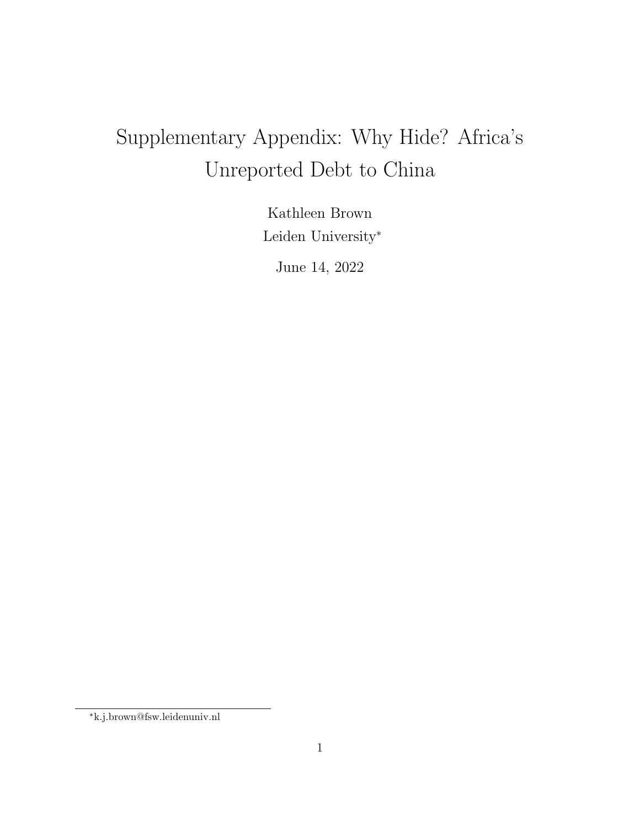# Supplementary Appendix: Why Hide? Africa's Unreported Debt to China

Kathleen Brown Leiden University<sup>∗</sup>

June 14, 2022

<sup>∗</sup>k.j.brown@fsw.leidenuniv.nl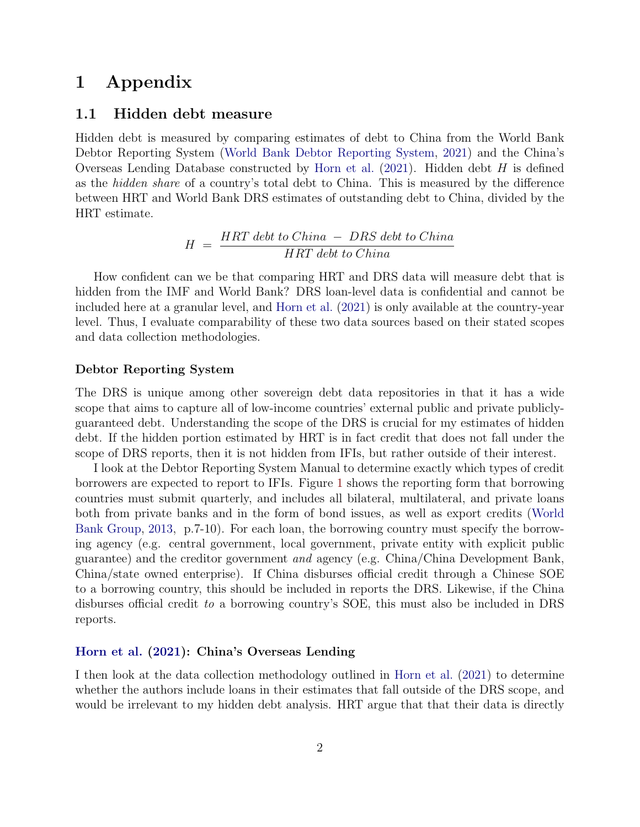# 1 Appendix

### 1.1 Hidden debt measure

Hidden debt is measured by comparing estimates of debt to China from the World Bank Debtor Reporting System (World Bank Debtor Reporting System, 2021) and the China's Overseas Lending Database constructed by Horn et al.  $(2021)$ . Hidden debt H is defined as the hidden share of a country's total debt to China. This is measured by the difference between HRT and World Bank DRS estimates of outstanding debt to China, divided by the HRT estimate.

$$
H = \frac{HRT \; debt \; to \; China \; - \; DRS \; debt \; to \; China}{HRT \; debt \; to \; China}
$$

How confident can we be that comparing HRT and DRS data will measure debt that is hidden from the IMF and World Bank? DRS loan-level data is confidential and cannot be included here at a granular level, and Horn et al. (2021) is only available at the country-year level. Thus, I evaluate comparability of these two data sources based on their stated scopes and data collection methodologies.

#### Debtor Reporting System

The DRS is unique among other sovereign debt data repositories in that it has a wide scope that aims to capture all of low-income countries' external public and private publiclyguaranteed debt. Understanding the scope of the DRS is crucial for my estimates of hidden debt. If the hidden portion estimated by HRT is in fact credit that does not fall under the scope of DRS reports, then it is not hidden from IFIs, but rather outside of their interest.

I look at the Debtor Reporting System Manual to determine exactly which types of credit borrowers are expected to report to IFIs. Figure 1 shows the reporting form that borrowing countries must submit quarterly, and includes all bilateral, multilateral, and private loans both from private banks and in the form of bond issues, as well as export credits (World Bank Group, 2013, p.7-10). For each loan, the borrowing country must specify the borrowing agency (e.g. central government, local government, private entity with explicit public guarantee) and the creditor government and agency (e.g. China/China Development Bank, China/state owned enterprise). If China disburses official credit through a Chinese SOE to a borrowing country, this should be included in reports the DRS. Likewise, if the China disburses official credit to a borrowing country's SOE, this must also be included in DRS reports.

#### Horn et al. (2021): China's Overseas Lending

I then look at the data collection methodology outlined in Horn et al. (2021) to determine whether the authors include loans in their estimates that fall outside of the DRS scope, and would be irrelevant to my hidden debt analysis. HRT argue that that their data is directly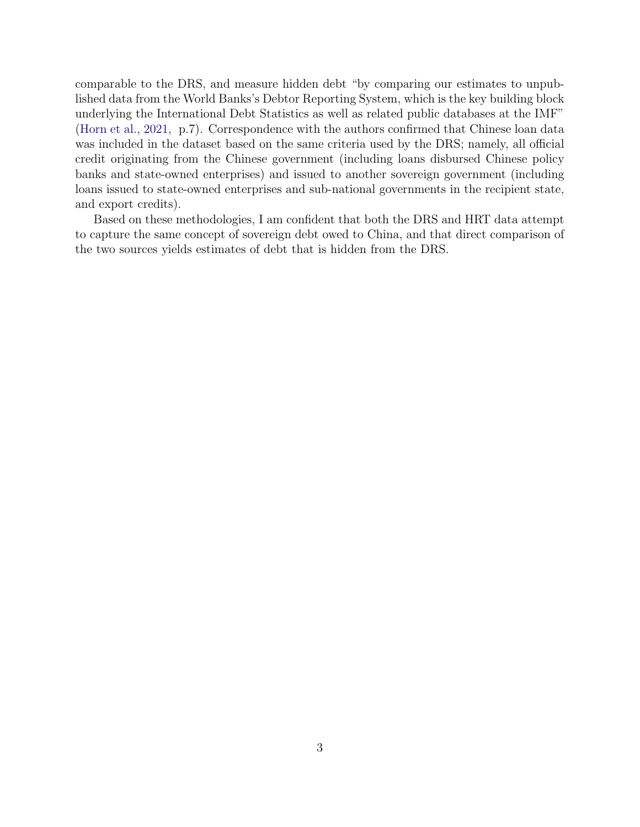comparable to the DRS, and measure hidden debt "by comparing our estimates to unpublished data from the World Banks's Debtor Reporting System, which is the key building block underlying the International Debt Statistics as well as related public databases at the IMF" (Horn et al., 2021, p.7). Correspondence with the authors confirmed that Chinese loan data was included in the dataset based on the same criteria used by the DRS; namely, all official credit originating from the Chinese government (including loans disbursed Chinese policy banks and state-owned enterprises) and issued to another sovereign government (including loans issued to state-owned enterprises and sub-national governments in the recipient state, and export credits).

Based on these methodologies, I am confident that both the DRS and HRT data attempt to capture the same concept of sovereign debt owed to China, and that direct comparison of the two sources yields estimates of debt that is hidden from the DRS.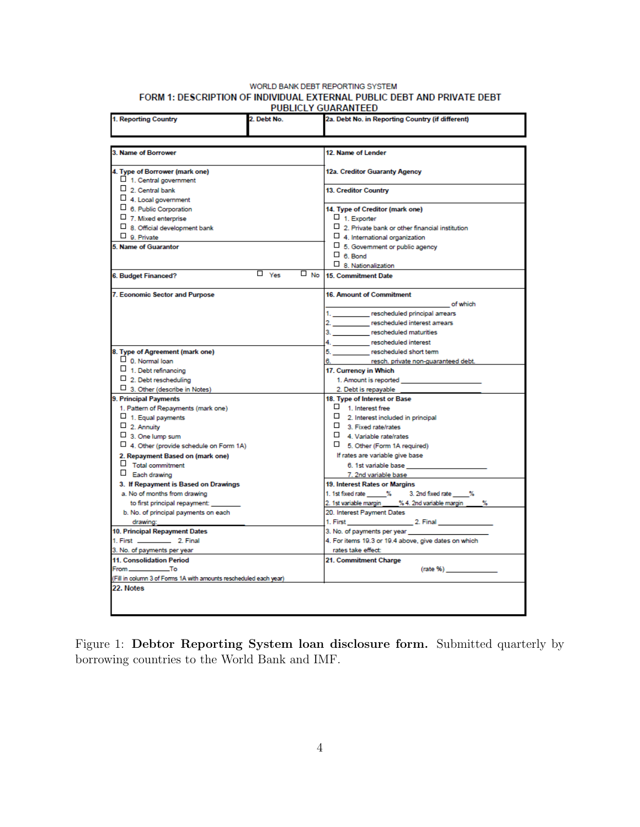#### WORLD BANK DEBT REPORTING SYSTEM FORM 1: DESCRIPTION OF INDIVIDUAL EXTERNAL PUBLIC DEBT AND PRIVATE DEBT PUBLICLY GUARANTEED

| 1. Reporting Country                                                                                                                        | 2. Debt No.             | 2a. Debt No. in Reporting Country (if different)                                                                                                                                                                                                                              |
|---------------------------------------------------------------------------------------------------------------------------------------------|-------------------------|-------------------------------------------------------------------------------------------------------------------------------------------------------------------------------------------------------------------------------------------------------------------------------|
|                                                                                                                                             |                         |                                                                                                                                                                                                                                                                               |
|                                                                                                                                             |                         |                                                                                                                                                                                                                                                                               |
| <b>3. Name of Borrower</b>                                                                                                                  |                         | 12. Name of Lender                                                                                                                                                                                                                                                            |
| 4. Type of Borrower (mark one)<br>$\Box$ 1. Central government                                                                              |                         | 12a. Creditor Guaranty Agency                                                                                                                                                                                                                                                 |
| $\Box$ 2. Central bank<br>4. Local government                                                                                               |                         | 13. Creditor Country                                                                                                                                                                                                                                                          |
| $\sqcup$ 6. Public Corporation<br>$\Box$ 7. Mixed enterprise<br>□ 8. Official development bank<br>$\Box$ 9. Private<br>5. Name of Guarantor |                         | 14. Type of Creditor (mark one)<br>$\Box$ 1. Exporter<br>$\Box$ 2. Private bank or other financial institution<br>$\Box$ 4. International organization<br>$\Box$ 5. Government or public agency<br>$\Box$ 6. Bond                                                             |
| 6. Budget Financed?                                                                                                                         | $\Box$ Yes<br>$\Box$ No | $\Box$ 8. Nationalization<br><b>15. Commitment Date</b>                                                                                                                                                                                                                       |
| 7. Economic Sector and Purpose                                                                                                              |                         | <b>16. Amount of Commitment</b><br><b><i>Contract Contract Contract Contract Contract Contract Contract Contract Contract Contract Contract Contract Contract Contract Contract Contract Contract Contract Contract Contract Contract Contract Contract Contract Cont</i></b> |
|                                                                                                                                             |                         | 1. ____________ rescheduled principal arrears<br>2. rescheduled interest arrears<br>3. rescheduled maturities<br>4. rescheduled interest                                                                                                                                      |
| 8. Type of Agreement (mark one)                                                                                                             |                         | 5. _____________ rescheduled short term                                                                                                                                                                                                                                       |
| $\Box$ 0. Normal loan                                                                                                                       |                         | 6. resch. private non-guaranteed debt.                                                                                                                                                                                                                                        |
| $\Box$ 1. Debt refinancing                                                                                                                  |                         | 17. Currency in Which                                                                                                                                                                                                                                                         |
| $\Box$ 2. Debt rescheduling                                                                                                                 |                         | 1. Amount is reported and a series of the series of the series of the series of the series of the series of the                                                                                                                                                               |
| 3. Other (describe in Notes)                                                                                                                |                         | 2. Debt is repayable                                                                                                                                                                                                                                                          |
| 9. Principal Payments                                                                                                                       |                         | 18. Type of Interest or Base                                                                                                                                                                                                                                                  |
| 1. Pattern of Repayments (mark one)                                                                                                         |                         | $\Box$ 1. Interest free                                                                                                                                                                                                                                                       |
| $\Box$ 1. Equal payments                                                                                                                    |                         | 2. Interest included in principal                                                                                                                                                                                                                                             |
| $\Box$ 2. Annuity                                                                                                                           |                         | 3. Fixed rate/rates                                                                                                                                                                                                                                                           |
| $\Box$ 3. One lump sum                                                                                                                      |                         | $\Box$ 4. Variable rate/rates                                                                                                                                                                                                                                                 |
| 4. Other (provide schedule on Form 1A)                                                                                                      |                         | 5. Other (Form 1A required)                                                                                                                                                                                                                                                   |
| 2. Repayment Based on (mark one)                                                                                                            |                         | If rates are variable give base                                                                                                                                                                                                                                               |
| $\Box$ Total commitment                                                                                                                     |                         | 6. 1st variable base                                                                                                                                                                                                                                                          |
| $\Box$ Each drawing                                                                                                                         |                         | 7. 2nd variable base                                                                                                                                                                                                                                                          |
| 3. If Repayment is Based on Drawings                                                                                                        |                         | 19. Interest Rates or Margins                                                                                                                                                                                                                                                 |
| a. No of months from drawing                                                                                                                |                         | 1. 1st fixed rate ______% 3. 2nd fixed rate _____%                                                                                                                                                                                                                            |
| to first principal repayment:                                                                                                               |                         | 2. 1st variable margin ____ % 4. 2nd variable margin ____ %                                                                                                                                                                                                                   |
| b. No. of principal payments on each                                                                                                        |                         | 20. Interest Payment Dates                                                                                                                                                                                                                                                    |
| drawing:                                                                                                                                    |                         |                                                                                                                                                                                                                                                                               |
| 10. Principal Repayment Dates                                                                                                               |                         | 3. No. of payments per year<br>4. For items 19.3 or 19.4 above, give dates on which                                                                                                                                                                                           |
| 3. No. of payments per year                                                                                                                 |                         | rates take effect:                                                                                                                                                                                                                                                            |
| 11. Consolidation Period                                                                                                                    |                         |                                                                                                                                                                                                                                                                               |
| From _______________To                                                                                                                      |                         | 21. Commitment Charge                                                                                                                                                                                                                                                         |
| (Fill in column 3 of Forms 1A with amounts rescheduled each year)                                                                           |                         | $(\text{rate } \% )$                                                                                                                                                                                                                                                          |
| 22. Notes                                                                                                                                   |                         |                                                                                                                                                                                                                                                                               |
|                                                                                                                                             |                         |                                                                                                                                                                                                                                                                               |
|                                                                                                                                             |                         |                                                                                                                                                                                                                                                                               |
|                                                                                                                                             |                         |                                                                                                                                                                                                                                                                               |

Figure 1: Debtor Reporting System loan disclosure form. Submitted quarterly by borrowing countries to the World Bank and IMF.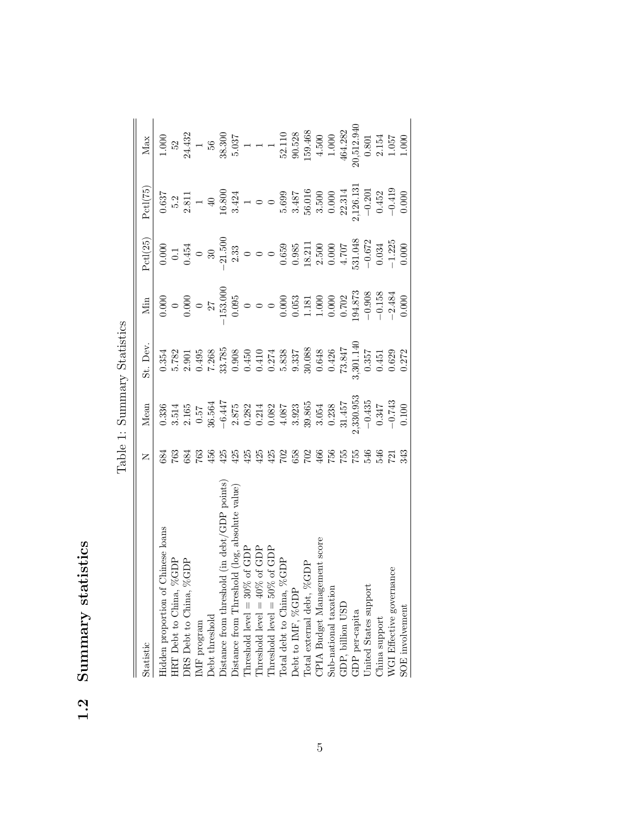| statistics |
|------------|
| Altunull   |
| ١          |

| i<br>j<br>Ò           |
|-----------------------|
| ۵<br>-<br>}<br>}<br>ζ |
| ۲                     |
| j<br>í                |

| Statistic                                                                                                                                                                                       | Z               | Mean                                                                                                                                                                                                                                                                                                  | it. Dev. | Min                                                                                                                                                                                                                                                                   | Pctl(25)                                                                                                                                                                                                                                                                  | Pct1(75) | Max                                                                                                                                                                                                                                                                                                                                   |
|-------------------------------------------------------------------------------------------------------------------------------------------------------------------------------------------------|-----------------|-------------------------------------------------------------------------------------------------------------------------------------------------------------------------------------------------------------------------------------------------------------------------------------------------------|----------|-----------------------------------------------------------------------------------------------------------------------------------------------------------------------------------------------------------------------------------------------------------------------|---------------------------------------------------------------------------------------------------------------------------------------------------------------------------------------------------------------------------------------------------------------------------|----------|---------------------------------------------------------------------------------------------------------------------------------------------------------------------------------------------------------------------------------------------------------------------------------------------------------------------------------------|
| Hidden proportion of Chinese loans                                                                                                                                                              | 384             |                                                                                                                                                                                                                                                                                                       |          | $\begin{array}{r} 0.000\\ 0.000\\ 0.000\\ 0.095\\ 0.095\\ 0.000\\ 0.000\\ 0.000\\ 0.000\\ 0.000\\ 0.000\\ 0.000\\ 0.000\\ 0.000\\ 0.000\\ 0.000\\ 0.000\\ 0.000\\ 0.000\\ 0.000\\ 0.000\\ 0.000\\ 0.000\\ 0.000\\ 0.000\\ 0.000\\ 0.000\\ 0.000\\ 0.000\\ 0.000\\ 0.$ |                                                                                                                                                                                                                                                                           |          | $\begin{array}{r} 1.000\\52\\24.432\\56\\5.037\\1\\1\\1\\1\\0\\0.80\\1\\0\\0.80\\1\\0\\0.80\\1\\0\\0\\0\\1\\0\\0\\0\\1\\0\\0\\0\\1\\0\\0\\1\\0\\0\\1\\0\\0\\1\\0\\0\\1\\0\\0\\1\\0\\0\\1\\0\\0\\1\\0\\0\\0\\1\\0\\0\\0\\1\\0\\0\\0\\1\\0\\0\\0\\0\\1\\0\\0\\0\\0\\1\\0\\0\\0\\1\\0\\0\\0\\1\\0\\0\\0\\0\\0\\0\\0\\0\\0\\0\\0\\0\\0\\$ |
| HRT Debt to China, %GDP                                                                                                                                                                         | 763             |                                                                                                                                                                                                                                                                                                       |          |                                                                                                                                                                                                                                                                       |                                                                                                                                                                                                                                                                           |          |                                                                                                                                                                                                                                                                                                                                       |
| ORS Debt to China, %GDP                                                                                                                                                                         | 684             |                                                                                                                                                                                                                                                                                                       |          |                                                                                                                                                                                                                                                                       |                                                                                                                                                                                                                                                                           |          |                                                                                                                                                                                                                                                                                                                                       |
| $\mathbf{M}\mathbf{F}$ program                                                                                                                                                                  | 763             |                                                                                                                                                                                                                                                                                                       |          |                                                                                                                                                                                                                                                                       |                                                                                                                                                                                                                                                                           |          |                                                                                                                                                                                                                                                                                                                                       |
| <b>Debt</b> threshold                                                                                                                                                                           |                 |                                                                                                                                                                                                                                                                                                       |          |                                                                                                                                                                                                                                                                       |                                                                                                                                                                                                                                                                           |          |                                                                                                                                                                                                                                                                                                                                       |
| )istance from threshold (in debt/GDP points)                                                                                                                                                    | $456$<br>$425$  | $\begin{array}{l} 336\\ 3514\\ 3.514\\ 2.57\\ 4.7\\ 6.44\\ -6.44\\ 2.875\\ -6.21\\ 2.875\\ -2.875\\ 2.21\\ -2.22\\ -2.23\\ -2.24\\ -2.25\\ -2.25\\ -2.25\\ -2.25\\ -2.25\\ -2.25\\ -2.25\\ -2.25\\ -2.25\\ -2.25\\ -2.25\\ -2.25\\ -2.25\\ -2.25\\ -2.25\\ -2.25\\ -2.25\\ -2.25\\ -2.25\\ -2.25\\ -$ |          |                                                                                                                                                                                                                                                                       | $\begin{array}{c} 0.000\\ 0.1\\ 0.454\\ -21.50(\\ 0.33\\ 2.33\\ 0.000\\ 0.039\\ 0.000\\ 0.000\\ 0.000\\ -1.225\\ -1.225\\ 0.000\\ -1.225\\ 0.000\\ 0.003\\ 0.000\\ 0.003\\ 0.000\\ 0.000\\ 0.000\\ 0.000\\ 0.000\\ 0.000\\ 0.000\\ 0.000\\ 0.000\\ 0.000\\ 0.000\\ 0.000$ |          |                                                                                                                                                                                                                                                                                                                                       |
|                                                                                                                                                                                                 |                 |                                                                                                                                                                                                                                                                                                       |          |                                                                                                                                                                                                                                                                       |                                                                                                                                                                                                                                                                           |          |                                                                                                                                                                                                                                                                                                                                       |
|                                                                                                                                                                                                 | 425             |                                                                                                                                                                                                                                                                                                       |          |                                                                                                                                                                                                                                                                       |                                                                                                                                                                                                                                                                           |          |                                                                                                                                                                                                                                                                                                                                       |
|                                                                                                                                                                                                 |                 |                                                                                                                                                                                                                                                                                                       |          |                                                                                                                                                                                                                                                                       |                                                                                                                                                                                                                                                                           |          |                                                                                                                                                                                                                                                                                                                                       |
| Distance from Threshold (log, absolute value)<br>Threshold level = 30% of GDP<br>Threshold level = 40% of GDP<br>Threshold level = 50% of GDP<br>Total debt to China, %GDP<br>Debt to IMF, %GDP |                 |                                                                                                                                                                                                                                                                                                       |          |                                                                                                                                                                                                                                                                       |                                                                                                                                                                                                                                                                           |          |                                                                                                                                                                                                                                                                                                                                       |
|                                                                                                                                                                                                 |                 |                                                                                                                                                                                                                                                                                                       |          |                                                                                                                                                                                                                                                                       |                                                                                                                                                                                                                                                                           |          |                                                                                                                                                                                                                                                                                                                                       |
|                                                                                                                                                                                                 |                 |                                                                                                                                                                                                                                                                                                       |          |                                                                                                                                                                                                                                                                       |                                                                                                                                                                                                                                                                           |          |                                                                                                                                                                                                                                                                                                                                       |
| Lotal external debt, %GDP                                                                                                                                                                       |                 |                                                                                                                                                                                                                                                                                                       |          |                                                                                                                                                                                                                                                                       |                                                                                                                                                                                                                                                                           |          |                                                                                                                                                                                                                                                                                                                                       |
| CPIA Budget Management score                                                                                                                                                                    |                 |                                                                                                                                                                                                                                                                                                       |          |                                                                                                                                                                                                                                                                       |                                                                                                                                                                                                                                                                           |          |                                                                                                                                                                                                                                                                                                                                       |
| Sub-national taxation                                                                                                                                                                           |                 |                                                                                                                                                                                                                                                                                                       |          |                                                                                                                                                                                                                                                                       |                                                                                                                                                                                                                                                                           |          |                                                                                                                                                                                                                                                                                                                                       |
| GDP, billion USD                                                                                                                                                                                |                 |                                                                                                                                                                                                                                                                                                       |          |                                                                                                                                                                                                                                                                       |                                                                                                                                                                                                                                                                           |          |                                                                                                                                                                                                                                                                                                                                       |
| ${\tt GDP}$ per-capita                                                                                                                                                                          |                 |                                                                                                                                                                                                                                                                                                       |          |                                                                                                                                                                                                                                                                       |                                                                                                                                                                                                                                                                           |          |                                                                                                                                                                                                                                                                                                                                       |
| Jnited States support                                                                                                                                                                           |                 |                                                                                                                                                                                                                                                                                                       |          |                                                                                                                                                                                                                                                                       |                                                                                                                                                                                                                                                                           |          |                                                                                                                                                                                                                                                                                                                                       |
| China support                                                                                                                                                                                   | 546             |                                                                                                                                                                                                                                                                                                       |          |                                                                                                                                                                                                                                                                       |                                                                                                                                                                                                                                                                           |          |                                                                                                                                                                                                                                                                                                                                       |
| WGI Effective governance                                                                                                                                                                        | $\overline{23}$ |                                                                                                                                                                                                                                                                                                       |          |                                                                                                                                                                                                                                                                       |                                                                                                                                                                                                                                                                           |          |                                                                                                                                                                                                                                                                                                                                       |
| SOE involvement                                                                                                                                                                                 |                 |                                                                                                                                                                                                                                                                                                       |          |                                                                                                                                                                                                                                                                       |                                                                                                                                                                                                                                                                           |          |                                                                                                                                                                                                                                                                                                                                       |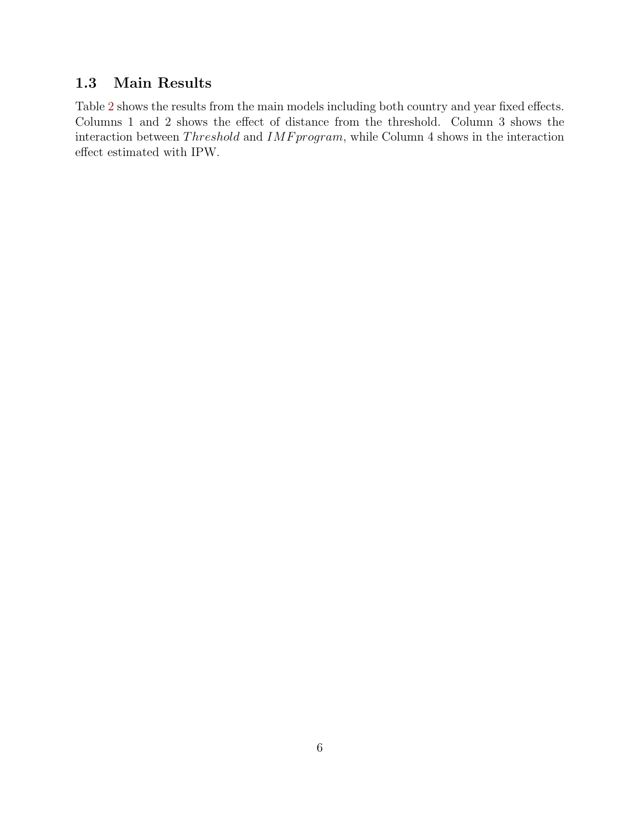# 1.3 Main Results

Table 2 shows the results from the main models including both country and year fixed effects. Columns 1 and 2 shows the effect of distance from the threshold. Column 3 shows the interaction between  $Threshold$  and  $IMF program$ , while Column 4 shows in the interaction effect estimated with IPW.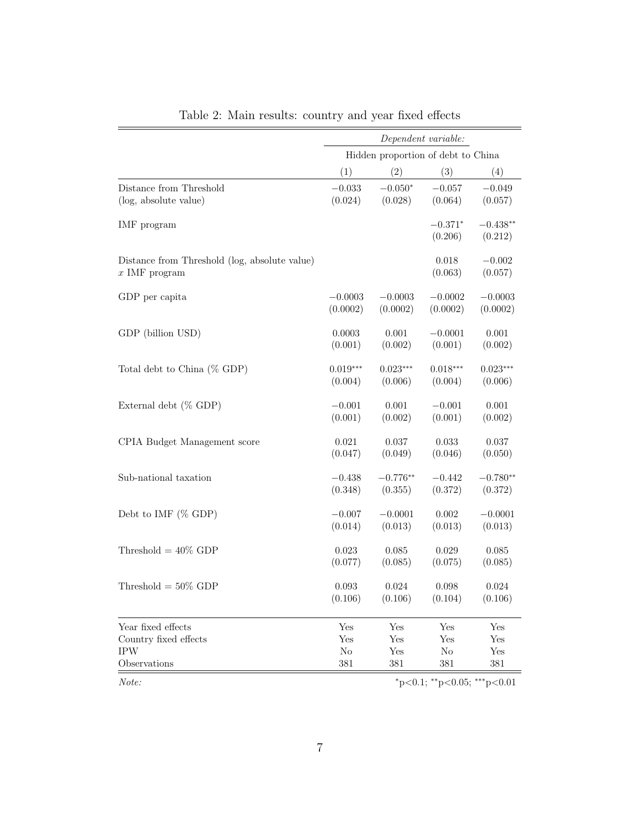|                                                                  | Dependent variable: |                                    |                                         |                       |
|------------------------------------------------------------------|---------------------|------------------------------------|-----------------------------------------|-----------------------|
|                                                                  |                     | Hidden proportion of debt to China |                                         |                       |
|                                                                  | (1)                 | (2)                                | (3)                                     | (4)                   |
| Distance from Threshold                                          | $-0.033$            | $-0.050*$                          | $-0.057$                                | $-0.049$              |
| (log, absolute value)                                            | (0.024)             | (0.028)                            | (0.064)                                 | (0.057)               |
| IMF program                                                      |                     |                                    | $-0.371*$<br>(0.206)                    | $-0.438**$<br>(0.212) |
| Distance from Threshold (log, absolute value)<br>$x$ IMF program |                     |                                    | 0.018<br>(0.063)                        | $-0.002$<br>(0.057)   |
| GDP per capita                                                   | $-0.0003$           | $-0.0003$                          | $-0.0002$                               | $-0.0003$             |
|                                                                  | (0.0002)            | (0.0002)                           | (0.0002)                                | (0.0002)              |
| GDP (billion USD)                                                | 0.0003              | 0.001                              | $-0.0001$                               | 0.001                 |
|                                                                  | (0.001)             | (0.002)                            | (0.001)                                 | (0.002)               |
| Total debt to China $(\%$ GDP)                                   | $0.019***$          | $0.023***$                         | $0.018***$                              | $0.023***$            |
|                                                                  | (0.004)             | (0.006)                            | (0.004)                                 | (0.006)               |
| External debt (% GDP)                                            | $-0.001$            | 0.001                              | $-0.001$                                | 0.001                 |
|                                                                  | (0.001)             | (0.002)                            | (0.001)                                 | (0.002)               |
| CPIA Budget Management score                                     | 0.021               | 0.037                              | 0.033                                   | 0.037                 |
|                                                                  | (0.047)             | (0.049)                            | (0.046)                                 | (0.050)               |
| Sub-national taxation                                            | $-0.438$            | $-0.776**$                         | $-0.442$                                | $-0.780**$            |
|                                                                  | (0.348)             | (0.355)                            | (0.372)                                 | (0.372)               |
| Debt to IMF $(\%$ GDP)                                           | $-0.007$            | $-0.0001$                          | $0.002\,$                               | $-0.0001$             |
|                                                                  | (0.014)             | (0.013)                            | (0.013)                                 | (0.013)               |
| Threshold $= 40\%$ GDP                                           | 0.023               | 0.085                              | 0.029                                   | 0.085                 |
|                                                                  | (0.077)             | (0.085)                            | (0.075)                                 | (0.085)               |
| Threshold $= 50\%$ GDP                                           | 0.093               | 0.024                              | 0.098                                   | 0.024                 |
|                                                                  | (0.106)             | (0.106)                            | (0.104)                                 | (0.106)               |
| Year fixed effects                                               | Yes                 | Yes                                | Yes                                     | Yes                   |
| Country fixed effects                                            | Yes                 | Yes                                | Yes                                     | Yes                   |
| <b>IPW</b>                                                       | $\rm No$            | Yes                                | N <sub>o</sub>                          | Yes                   |
| Observations                                                     | 381                 | 381                                | 381                                     | 381                   |
| Note:                                                            |                     |                                    | $*_{p<0.1;}$ $*_{p<0.05;}$ $*_{p<0.01}$ |                       |

Table 2: Main results: country and year fixed effects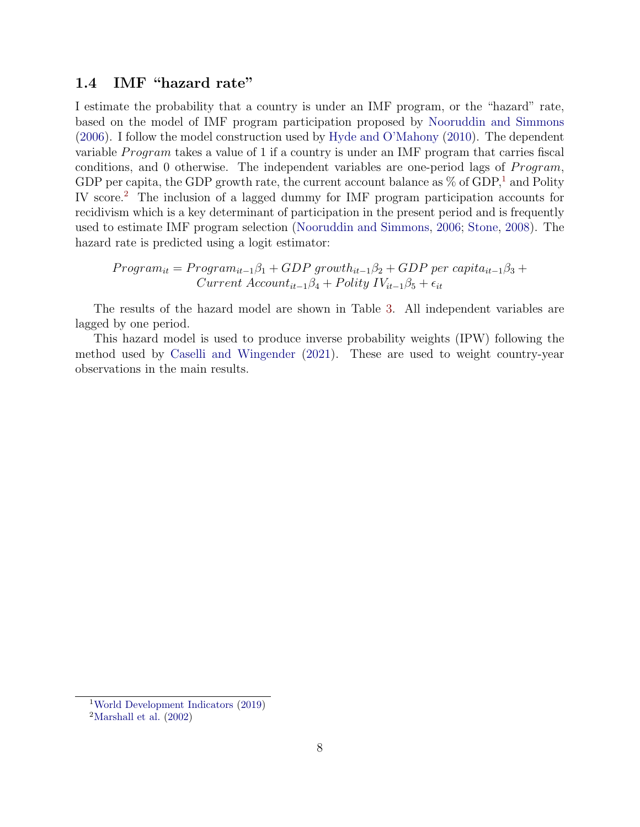### 1.4 IMF "hazard rate"

I estimate the probability that a country is under an IMF program, or the "hazard" rate, based on the model of IMF program participation proposed by Nooruddin and Simmons (2006). I follow the model construction used by Hyde and O'Mahony (2010). The dependent variable *Program* takes a value of 1 if a country is under an IMF program that carries fiscal conditions, and 0 otherwise. The independent variables are one-period lags of  $Program$ , GDP per capita, the GDP growth rate, the current account balance as  $\%$  of GDP,<sup>1</sup> and Polity IV score.2 The inclusion of a lagged dummy for IMF program participation accounts for recidivism which is a key determinant of participation in the present period and is frequently used to estimate IMF program selection (Nooruddin and Simmons, 2006; Stone, 2008). The hazard rate is predicted using a logit estimator:

$$
Program_{it} = Program_{it-1}\beta_1 + GDP\ growth_{it-1}\beta_2 + GDP\ per\ capital_{it-1}\beta_3 + Current\ Account_{it-1}\beta_4 + Polity\ IV_{it-1}\beta_5 + \epsilon_{it}
$$

The results of the hazard model are shown in Table 3. All independent variables are lagged by one period.

This hazard model is used to produce inverse probability weights (IPW) following the method used by Caselli and Wingender (2021). These are used to weight country-year observations in the main results.

<sup>1</sup>World Development Indicators (2019)

<sup>&</sup>lt;sup>2</sup>Marshall et al.  $(2002)$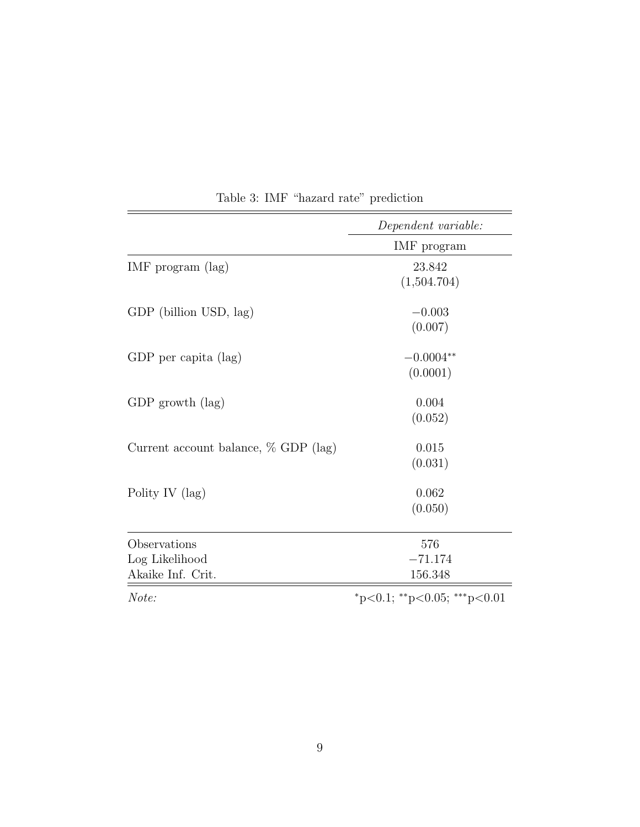|                                                     | Dependent variable:         |
|-----------------------------------------------------|-----------------------------|
|                                                     | IMF program                 |
| IMF program $(\text{lag})$                          | 23.842<br>(1,504.704)       |
| GDP (billion USD, lag)                              | $-0.003$<br>(0.007)         |
| GDP per capita (lag)                                | $-0.0004**$<br>(0.0001)     |
| GDP growth $(\text{lag})$                           | 0.004<br>(0.052)            |
| Current account balance, $\%$ GDP (lag)             | 0.015<br>(0.031)            |
| Polity IV (lag)                                     | 0.062<br>(0.050)            |
| Observations<br>Log Likelihood<br>Akaike Inf. Crit. | 576<br>$-71.174$<br>156.348 |
| Note:                                               | *p<0.1; **p<0.05; ***p<0.01 |

Table 3: IMF "hazard rate" prediction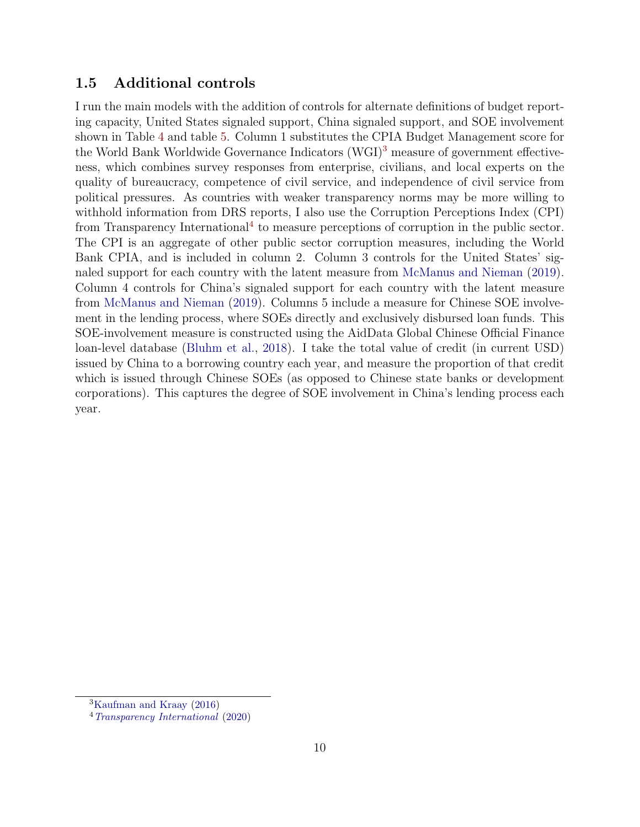### 1.5 Additional controls

I run the main models with the addition of controls for alternate definitions of budget reporting capacity, United States signaled support, China signaled support, and SOE involvement shown in Table 4 and table 5. Column 1 substitutes the CPIA Budget Management score for the World Bank Worldwide Governance Indicators (WGI)<sup>3</sup> measure of government effectiveness, which combines survey responses from enterprise, civilians, and local experts on the quality of bureaucracy, competence of civil service, and independence of civil service from political pressures. As countries with weaker transparency norms may be more willing to withhold information from DRS reports, I also use the Corruption Perceptions Index (CPI) from Transparency International<sup>4</sup> to measure perceptions of corruption in the public sector. The CPI is an aggregate of other public sector corruption measures, including the World Bank CPIA, and is included in column 2. Column 3 controls for the United States' signaled support for each country with the latent measure from McManus and Nieman (2019). Column 4 controls for China's signaled support for each country with the latent measure from McManus and Nieman (2019). Columns 5 include a measure for Chinese SOE involvement in the lending process, where SOEs directly and exclusively disbursed loan funds. This SOE-involvement measure is constructed using the AidData Global Chinese Official Finance loan-level database (Bluhm et al., 2018). I take the total value of credit (in current USD) issued by China to a borrowing country each year, and measure the proportion of that credit which is issued through Chinese SOEs (as opposed to Chinese state banks or development corporations). This captures the degree of SOE involvement in China's lending process each year.

<sup>3</sup>Kaufman and Kraay (2016)

<sup>4</sup>Transparency International (2020)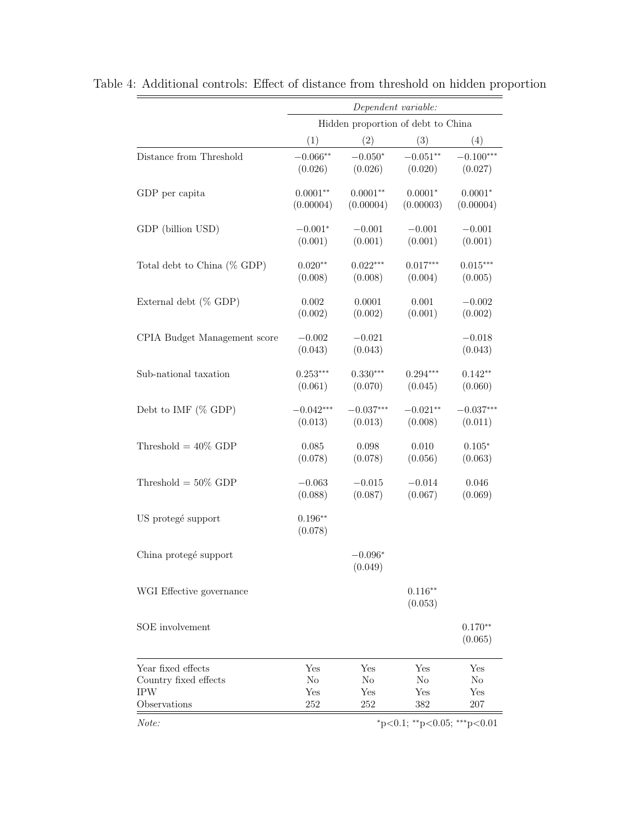|                              | Dependent variable:                     |                                    |                      |                      |  |  |
|------------------------------|-----------------------------------------|------------------------------------|----------------------|----------------------|--|--|
|                              |                                         | Hidden proportion of debt to China |                      |                      |  |  |
|                              | (1)                                     | (2)                                | (3)                  | (4)                  |  |  |
| Distance from Threshold      | $-0.066**$                              | $-0.050*$                          | $-0.051**$           | $-0.100***$          |  |  |
|                              | (0.026)                                 | (0.026)                            | (0.020)              | (0.027)              |  |  |
| GDP per capita               | $0.0001**$                              | $0.0001**$                         | $0.0001*$            | $0.0001*$            |  |  |
|                              | (0.00004)                               | (0.00004)                          | (0.00003)            | (0.00004)            |  |  |
| GDP (billion USD)            | $-0.001*$                               | $-0.001$                           | $-0.001$             | $-0.001$             |  |  |
|                              | (0.001)                                 | (0.001)                            | (0.001)              | (0.001)              |  |  |
| Total debt to China (% GDP)  | $0.020**$                               | $0.022***$                         | $0.017***$           | $0.015***$           |  |  |
|                              | (0.008)                                 | (0.008)                            | (0.004)              | (0.005)              |  |  |
| External debt $(\%$ GDP)     | 0.002                                   | 0.0001                             | 0.001                | $-0.002$             |  |  |
|                              | (0.002)                                 | (0.002)                            | (0.001)              | (0.002)              |  |  |
| CPIA Budget Management score | $-0.002$<br>(0.043)                     | $-0.021$<br>(0.043)                |                      | $-0.018$<br>(0.043)  |  |  |
| Sub-national taxation        | $0.253***$                              | $0.330***$                         | $0.294***$           | $0.142**$            |  |  |
|                              | (0.061)                                 | (0.070)                            | (0.045)              | (0.060)              |  |  |
| Debt to IMF $(\%$ GDP)       | $-0.042***$                             | $-0.037***$                        | $-0.021**$           | $-0.037***$          |  |  |
|                              | (0.013)                                 | (0.013)                            | (0.008)              | (0.011)              |  |  |
| Threshold $= 40\%$ GDP       | 0.085                                   | 0.098                              | 0.010                | $0.105*$             |  |  |
|                              | (0.078)                                 | (0.078)                            | (0.056)              | (0.063)              |  |  |
| Threshold = $50\%$ GDP       | $-0.063$                                | $-0.015$                           | $-0.014$             | 0.046                |  |  |
|                              | (0.088)                                 | (0.087)                            | (0.067)              | (0.069)              |  |  |
| US protegé support           | $0.196**$<br>(0.078)                    |                                    |                      |                      |  |  |
| China protegé support        |                                         | $-0.096*$<br>(0.049)               |                      |                      |  |  |
| WGI Effective governance     |                                         |                                    | $0.116**$<br>(0.053) |                      |  |  |
| SOE involvement              |                                         |                                    |                      | $0.170**$<br>(0.065) |  |  |
| Year fixed effects           | Yes                                     | Yes                                | Yes                  | Yes                  |  |  |
| Country fixed effects        | $\rm No$                                | No                                 | No                   | No                   |  |  |
| <b>IPW</b>                   | Yes                                     | Yes                                | Yes                  | Yes                  |  |  |
| Observations                 | 252                                     | 252                                | 382                  | 207                  |  |  |
| Note:                        | $*_{p<0.1;}$ $*_{p<0.05;}$ $*_{p<0.01}$ |                                    |                      |                      |  |  |

Table 4: Additional controls: Effect of distance from threshold on hidden proportion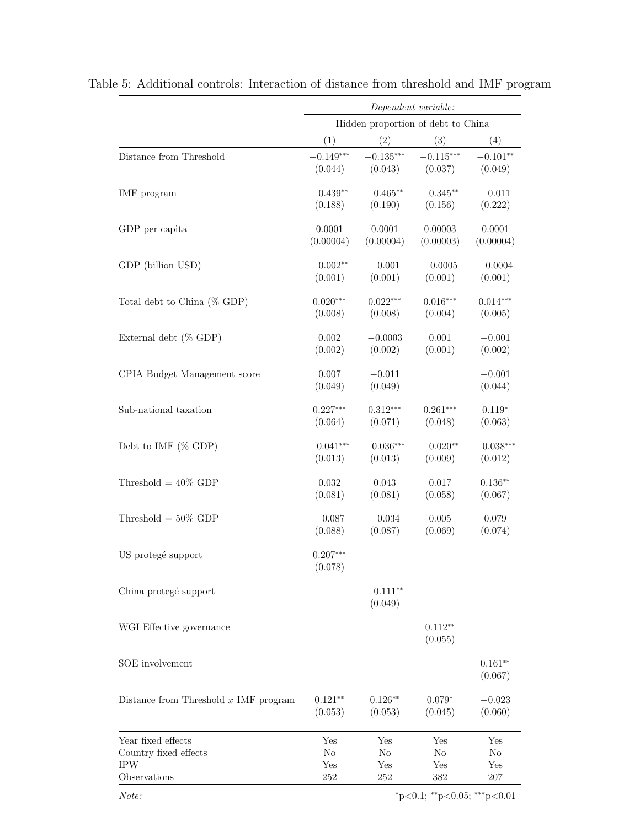| Hidden proportion of debt to China<br>(2)<br>(4)<br>(1)<br>(3)<br>$-0.135***$<br>$-0.149***$<br>$-0.115***$<br>$-0.101**$<br>Distance from Threshold<br>(0.044)<br>(0.043)<br>(0.037)<br>(0.049)<br>$-0.465**$<br>$-0.345**$<br>IMF program<br>$-0.439**$<br>$-0.011$<br>(0.188)<br>(0.190)<br>(0.156)<br>(0.222)<br>0.0001<br>0.0001<br>0.00003<br>0.0001<br>GDP per capita<br>(0.00004)<br>(0.00004)<br>(0.00003)<br>(0.00004)<br>$-0.001$<br>$-0.0005$<br>GDP (billion USD)<br>$-0.002**$<br>$-0.0004$<br>(0.001)<br>(0.001)<br>(0.001)<br>(0.001)<br>$0.020***$<br>$0.016***$<br>$0.014***$<br>$0.022***$<br>Total debt to China (% GDP)<br>(0.008)<br>(0.008)<br>(0.004)<br>(0.005)<br>$-0.0003$<br>0.001<br>External debt $(\%$ GDP)<br>0.002<br>$-0.001$<br>(0.002)<br>(0.002)<br>(0.001)<br>(0.002) |  |
|-------------------------------------------------------------------------------------------------------------------------------------------------------------------------------------------------------------------------------------------------------------------------------------------------------------------------------------------------------------------------------------------------------------------------------------------------------------------------------------------------------------------------------------------------------------------------------------------------------------------------------------------------------------------------------------------------------------------------------------------------------------------------------------------------------------|--|
|                                                                                                                                                                                                                                                                                                                                                                                                                                                                                                                                                                                                                                                                                                                                                                                                             |  |
|                                                                                                                                                                                                                                                                                                                                                                                                                                                                                                                                                                                                                                                                                                                                                                                                             |  |
|                                                                                                                                                                                                                                                                                                                                                                                                                                                                                                                                                                                                                                                                                                                                                                                                             |  |
|                                                                                                                                                                                                                                                                                                                                                                                                                                                                                                                                                                                                                                                                                                                                                                                                             |  |
|                                                                                                                                                                                                                                                                                                                                                                                                                                                                                                                                                                                                                                                                                                                                                                                                             |  |
|                                                                                                                                                                                                                                                                                                                                                                                                                                                                                                                                                                                                                                                                                                                                                                                                             |  |
|                                                                                                                                                                                                                                                                                                                                                                                                                                                                                                                                                                                                                                                                                                                                                                                                             |  |
|                                                                                                                                                                                                                                                                                                                                                                                                                                                                                                                                                                                                                                                                                                                                                                                                             |  |
|                                                                                                                                                                                                                                                                                                                                                                                                                                                                                                                                                                                                                                                                                                                                                                                                             |  |
|                                                                                                                                                                                                                                                                                                                                                                                                                                                                                                                                                                                                                                                                                                                                                                                                             |  |
|                                                                                                                                                                                                                                                                                                                                                                                                                                                                                                                                                                                                                                                                                                                                                                                                             |  |
|                                                                                                                                                                                                                                                                                                                                                                                                                                                                                                                                                                                                                                                                                                                                                                                                             |  |
|                                                                                                                                                                                                                                                                                                                                                                                                                                                                                                                                                                                                                                                                                                                                                                                                             |  |
|                                                                                                                                                                                                                                                                                                                                                                                                                                                                                                                                                                                                                                                                                                                                                                                                             |  |
| $-0.001$<br>CPIA Budget Management score<br>0.007<br>$-0.011$                                                                                                                                                                                                                                                                                                                                                                                                                                                                                                                                                                                                                                                                                                                                               |  |
| (0.049)<br>(0.049)<br>(0.044)                                                                                                                                                                                                                                                                                                                                                                                                                                                                                                                                                                                                                                                                                                                                                                               |  |
| $0.227***$<br>$0.312***$<br>$0.261***$<br>$0.119*$<br>Sub-national taxation                                                                                                                                                                                                                                                                                                                                                                                                                                                                                                                                                                                                                                                                                                                                 |  |
| (0.064)<br>(0.071)<br>(0.063)<br>(0.048)                                                                                                                                                                                                                                                                                                                                                                                                                                                                                                                                                                                                                                                                                                                                                                    |  |
| $-0.041***$<br>$-0.036***$<br>$-0.020**$<br>$-0.038***$<br>Debt to IMF $(\%$ GDP)                                                                                                                                                                                                                                                                                                                                                                                                                                                                                                                                                                                                                                                                                                                           |  |
| (0.009)<br>(0.013)<br>(0.013)<br>(0.012)                                                                                                                                                                                                                                                                                                                                                                                                                                                                                                                                                                                                                                                                                                                                                                    |  |
| Threshold = $40\%$ GDP<br>0.032<br>0.043<br>0.017<br>$0.136**$                                                                                                                                                                                                                                                                                                                                                                                                                                                                                                                                                                                                                                                                                                                                              |  |
| (0.081)<br>(0.081)<br>(0.058)<br>(0.067)                                                                                                                                                                                                                                                                                                                                                                                                                                                                                                                                                                                                                                                                                                                                                                    |  |
| Threshold $= 50\%$ GDP<br>$-0.087$<br>$-0.034$<br>0.005<br>0.079                                                                                                                                                                                                                                                                                                                                                                                                                                                                                                                                                                                                                                                                                                                                            |  |
| (0.087)<br>(0.069)<br>(0.074)<br>(0.088)                                                                                                                                                                                                                                                                                                                                                                                                                                                                                                                                                                                                                                                                                                                                                                    |  |
| US protegé support<br>$0.207***$                                                                                                                                                                                                                                                                                                                                                                                                                                                                                                                                                                                                                                                                                                                                                                            |  |
| (0.078)                                                                                                                                                                                                                                                                                                                                                                                                                                                                                                                                                                                                                                                                                                                                                                                                     |  |
| $-0.111**$<br>China protegé support                                                                                                                                                                                                                                                                                                                                                                                                                                                                                                                                                                                                                                                                                                                                                                         |  |
| (0.049)                                                                                                                                                                                                                                                                                                                                                                                                                                                                                                                                                                                                                                                                                                                                                                                                     |  |
| $0.112**$<br>WGI Effective governance                                                                                                                                                                                                                                                                                                                                                                                                                                                                                                                                                                                                                                                                                                                                                                       |  |
| (0.055)                                                                                                                                                                                                                                                                                                                                                                                                                                                                                                                                                                                                                                                                                                                                                                                                     |  |
| SOE involvement<br>$0.161**$                                                                                                                                                                                                                                                                                                                                                                                                                                                                                                                                                                                                                                                                                                                                                                                |  |
| (0.067)                                                                                                                                                                                                                                                                                                                                                                                                                                                                                                                                                                                                                                                                                                                                                                                                     |  |
| Distance from Threshold $x$ IMF program<br>$0.121**$<br>$0.126**$<br>$0.079*$<br>$-0.023$                                                                                                                                                                                                                                                                                                                                                                                                                                                                                                                                                                                                                                                                                                                   |  |
| (0.060)<br>(0.053)<br>(0.053)<br>(0.045)                                                                                                                                                                                                                                                                                                                                                                                                                                                                                                                                                                                                                                                                                                                                                                    |  |
| Year fixed effects<br>Yes<br>Yes<br>Yes<br>Yes                                                                                                                                                                                                                                                                                                                                                                                                                                                                                                                                                                                                                                                                                                                                                              |  |
| Country fixed effects<br>No<br>No<br>$\rm No$<br>$\rm No$                                                                                                                                                                                                                                                                                                                                                                                                                                                                                                                                                                                                                                                                                                                                                   |  |
| <b>IPW</b><br>Yes<br>Yes<br>Yes<br>Yes<br>Observations<br>252<br>252<br>382<br>207                                                                                                                                                                                                                                                                                                                                                                                                                                                                                                                                                                                                                                                                                                                          |  |

Table 5: Additional controls: Interaction of distance from threshold and IMF program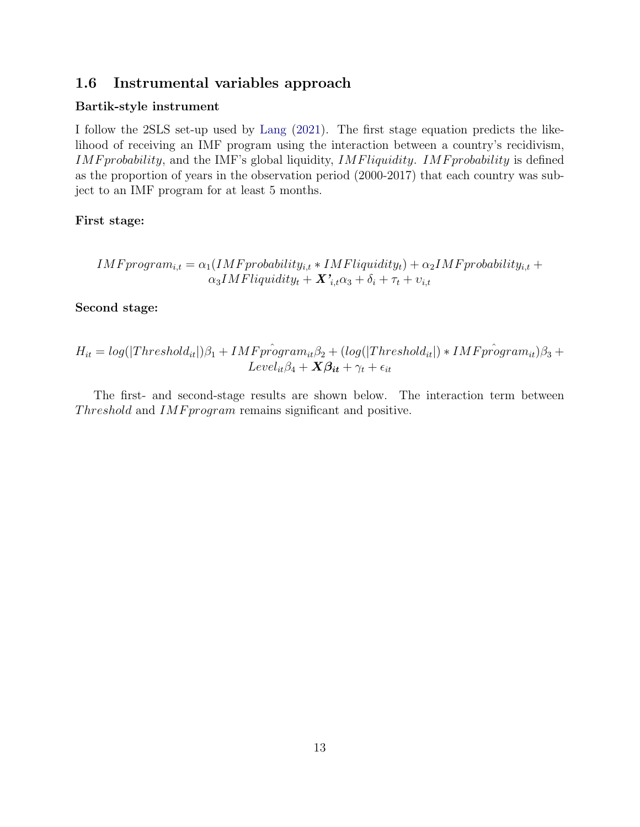### 1.6 Instrumental variables approach

### Bartik-style instrument

I follow the 2SLS set-up used by Lang (2021). The first stage equation predicts the likelihood of receiving an IMF program using the interaction between a country's recidivism, IMF probability, and the IMF's global liquidity, IMF liquidity. IMF probability is defined as the proportion of years in the observation period (2000-2017) that each country was subject to an IMF program for at least 5 months.

### First stage:

$$
IMF program_{i,t} = \alpha_1 (IMF probability_{i,t} * IMF liquidity_t) + \alpha_2 IMF probability_{i,t} + \alpha_3 IMF liquidity_t + \mathbf{X'}_{i,t}\alpha_3 + \delta_i + \tau_t + \upsilon_{i,t}
$$

Second stage:

$$
H_{it} = log(|Threshold_{it}|)\beta_1 + IMF\hat{program}_{it}\beta_2 + (log(|Threshold_{it}|) * IMF\hat{program}_{it})\beta_3 +
$$
  
Level<sub>it</sub> $\beta_4 + X\beta_{it} + \gamma_t + \epsilon_{it}$ 

The first- and second-stage results are shown below. The interaction term between Threshold and IMF program remains significant and positive.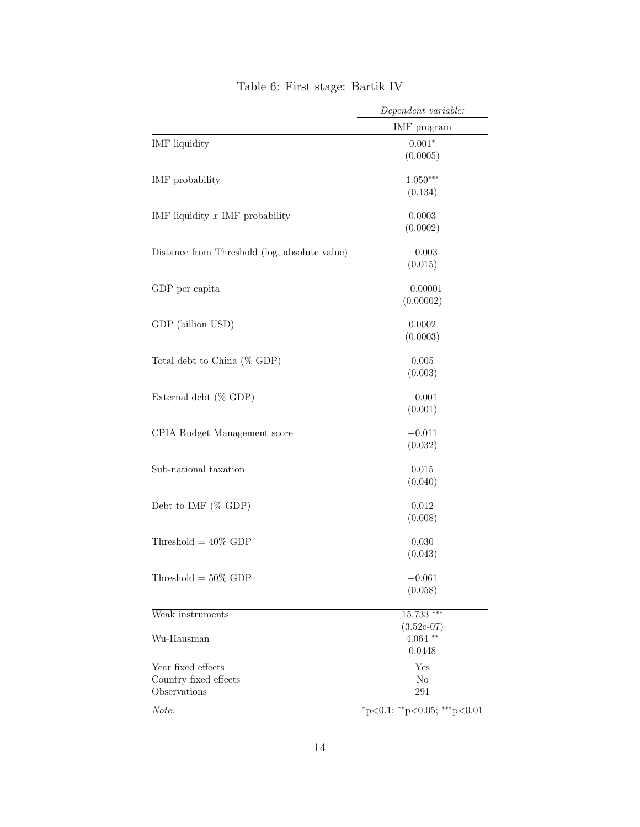|                                               | Dependent variable:                     |
|-----------------------------------------------|-----------------------------------------|
|                                               | IMF program                             |
| <b>IMF</b> liquidity                          | $0.001*$                                |
|                                               | (0.0005)                                |
| IMF probability                               | $1.050***$                              |
|                                               | (0.134)                                 |
| IMF liquidity $x$ IMF probability             | 0.0003                                  |
|                                               | (0.0002)                                |
| Distance from Threshold (log, absolute value) | $-0.003$                                |
|                                               | (0.015)                                 |
| GDP per capita                                | $-0.00001$                              |
|                                               | (0.00002)                               |
| GDP (billion USD)                             | 0.0002                                  |
|                                               | (0.0003)                                |
| Total debt to China (% GDP)                   | 0.005                                   |
|                                               | (0.003)                                 |
| External debt (% GDP)                         | $-0.001$                                |
|                                               | (0.001)                                 |
| CPIA Budget Management score                  | $-0.011$                                |
|                                               | (0.032)                                 |
| Sub-national taxation                         | 0.015                                   |
|                                               | (0.040)                                 |
| Debt to IMF (% GDP)                           | 0.012                                   |
|                                               | (0.008)                                 |
| Threshold = $40\%$ GDP                        | 0.030                                   |
|                                               | (0.043)                                 |
| Threshold = $50\%$ GDP                        | $-0.061$                                |
|                                               | (0.058)                                 |
| Weak instruments                              | 15.733 ***                              |
|                                               | $(3.52e-07)$                            |
| Wu-Hausman                                    | $4.064$ **                              |
|                                               | 0.0448                                  |
| Year fixed effects                            | Yes                                     |
| Country fixed effects<br>Observations         | No<br>291                               |
| Note:                                         | $*_{p<0.1;}$ $*_{p<0.05;}$ $*_{p<0.01}$ |

Table 6: First stage: Bartik IV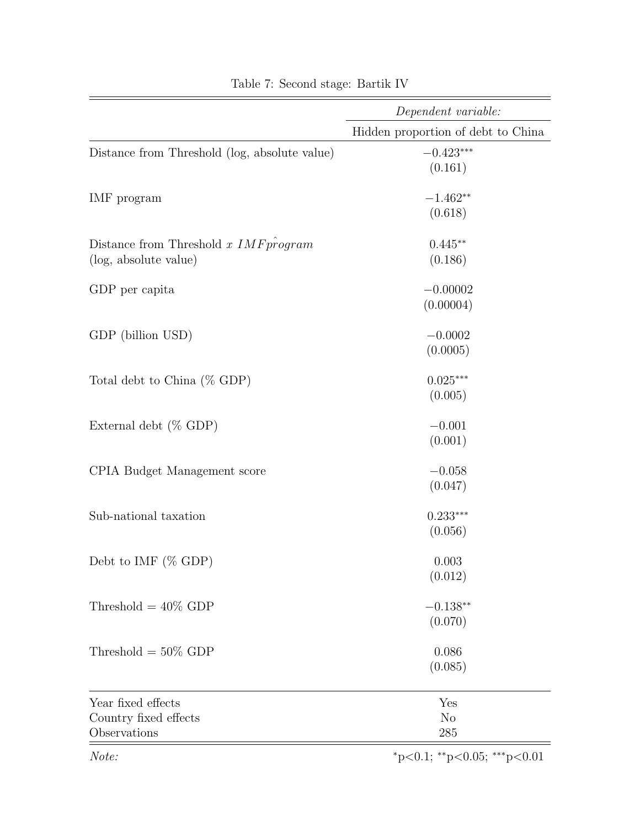|                                               | Dependent variable:                |  |  |
|-----------------------------------------------|------------------------------------|--|--|
|                                               | Hidden proportion of debt to China |  |  |
| Distance from Threshold (log, absolute value) | $-0.423***$                        |  |  |
|                                               | (0.161)                            |  |  |
| IMF program                                   | $-1.462**$                         |  |  |
|                                               | (0.618)                            |  |  |
| Distance from Threshold $x$ IMF program       | $0.445**$                          |  |  |
| (log, absolute value)                         | (0.186)                            |  |  |
| GDP per capita                                | $-0.00002$                         |  |  |
|                                               | (0.00004)                          |  |  |
| GDP (billion USD)                             | $-0.0002$                          |  |  |
|                                               | (0.0005)                           |  |  |
| Total debt to China $(\%$ GDP)                | $0.025***$                         |  |  |
|                                               | (0.005)                            |  |  |
| External debt $(\%$ GDP)                      | $-0.001$                           |  |  |
|                                               | (0.001)                            |  |  |
| CPIA Budget Management score                  | $-0.058$                           |  |  |
|                                               | (0.047)                            |  |  |
| Sub-national taxation                         | $0.233***$                         |  |  |
|                                               | (0.056)                            |  |  |
| Debt to IMF $(\%$ GDP)                        | 0.003                              |  |  |
|                                               | (0.012)                            |  |  |
| Threshold = $40\%$ GDP                        | $-0.138**$                         |  |  |
|                                               | (0.070)                            |  |  |
| Threshold = $50\%$ GDP                        | 0.086                              |  |  |
|                                               | (0.085)                            |  |  |
| Year fixed effects                            | Yes                                |  |  |
| Country fixed effects                         | N <sub>o</sub>                     |  |  |
| Observations                                  | 285                                |  |  |
| Note:                                         | $*_{p<0.1; *_{p<0.05; *_{p<0.01}}$ |  |  |

Table 7: Second stage: Bartik IV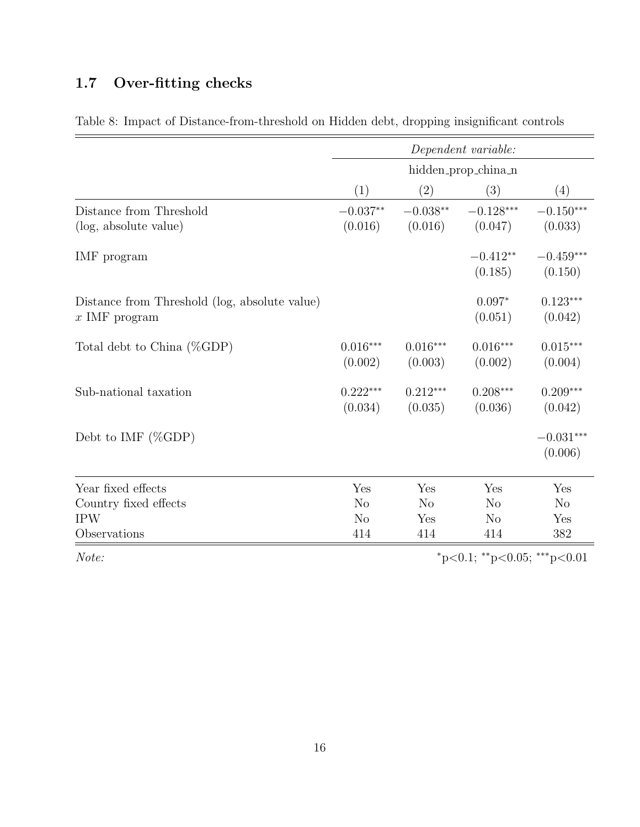# 1.7 Over-fitting checks

|                                                                  |                       |                       | Dependent variable:   |                        |
|------------------------------------------------------------------|-----------------------|-----------------------|-----------------------|------------------------|
|                                                                  |                       |                       | hidden_prop_china_n   |                        |
|                                                                  | (1)                   | (2)                   | (3)                   | (4)                    |
| Distance from Threshold                                          | $-0.037**$            | $-0.038**$            | $-0.128***$           | $-0.150***$            |
| (log, absolute value)                                            | (0.016)               | (0.016)               | (0.047)               | (0.033)                |
| IMF program                                                      |                       |                       | $-0.412**$<br>(0.185) | $-0.459***$<br>(0.150) |
| Distance from Threshold (log, absolute value)<br>$x$ IMF program |                       |                       | $0.097*$<br>(0.051)   | $0.123***$<br>(0.042)  |
| Total debt to China (%GDP)                                       | $0.016***$<br>(0.002) | $0.016***$<br>(0.003) | $0.016***$<br>(0.002) | $0.015***$<br>(0.004)  |
| Sub-national taxation                                            | $0.222***$<br>(0.034) | $0.212***$<br>(0.035) | $0.208***$<br>(0.036) | $0.209***$<br>(0.042)  |
| Debt to IMF $(\%GDP)$                                            |                       |                       |                       | $-0.031***$<br>(0.006) |
| Year fixed effects                                               | Yes                   | Yes                   | Yes                   | Yes                    |
| Country fixed effects                                            | $\rm No$              | $\rm No$              | N <sub>o</sub>        | N <sub>o</sub>         |
| <b>IPW</b>                                                       | N <sub>o</sub>        | Yes                   | N <sub>o</sub>        | Yes                    |
| Observations                                                     | 414                   | 414                   | 414                   | 382                    |

Table 8: Impact of Distance-from-threshold on Hidden debt, dropping insignificant controls

 $Note:$   $*_{p<0.1; *_{p<0.05; * * *_{p<0.01}}$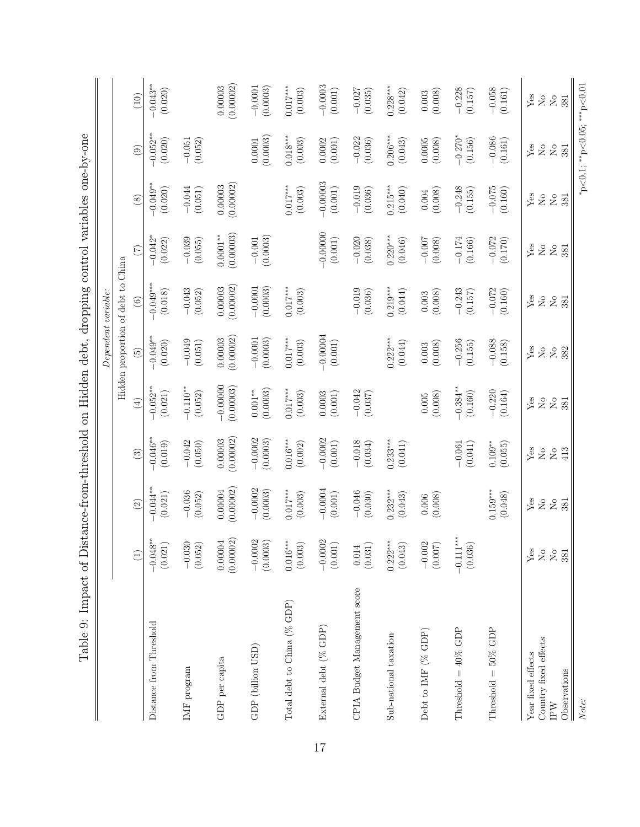|                                                          |                                         |                                                 |                                                                                    |                                                 | Dependent variable:                                         |                                                 |                                   |                                             |                                  |                                                                                                                                                         |
|----------------------------------------------------------|-----------------------------------------|-------------------------------------------------|------------------------------------------------------------------------------------|-------------------------------------------------|-------------------------------------------------------------|-------------------------------------------------|-----------------------------------|---------------------------------------------|----------------------------------|---------------------------------------------------------------------------------------------------------------------------------------------------------|
|                                                          |                                         |                                                 |                                                                                    |                                                 | Hidden proportion of debt to China                          |                                                 |                                   |                                             |                                  |                                                                                                                                                         |
|                                                          | $\left(1\right)$                        | $\odot$                                         | $\qquad \qquad \textcircled{\scriptsize{1}}$                                       | $\left( \pm \right)$                            | $\widetilde{5}$                                             | $\odot$                                         | $(\overline{z})$                  | $\circled{s}$                               | $\circledcirc$                   | (10)                                                                                                                                                    |
| Distance from Threshold                                  | $-0.048**$<br>(0.021)                   | $-0.044**$<br>(0.021)                           | $-0.046**$<br>(0.019)                                                              | $-0.052$ **<br>(0.021)                          | $-0.049**$<br>(0.020)                                       | $-0.049***$<br>(0.018)                          | $-0.042$ <sup>*</sup><br>(0.022)  | $-0.049**$<br>(0.020)                       | $-0.052***$<br>(0.020)           | $-0.043**$<br>(0.020)                                                                                                                                   |
| $IMF$ program                                            | $-0.030$<br>(0.052)                     | $-0.036$<br>(0.052)                             | $-0.042$<br>(0.050)                                                                | $-0.110**$<br>(0.052)                           | $-0.049$<br>(0.051)                                         | $-0.043$<br>(0.052)                             | $-0.039$<br>(0.055)               | $-0.044$<br>(0.051)                         | $-0.051$<br>(0.052)              |                                                                                                                                                         |
| GDP per capita                                           | (0.00002)<br>0.00004                    | (0.00002)<br>0.00004                            | (0.00002)<br>0.00003                                                               | $-0.00000$<br>(0.00003)                         | (0.00002)<br>0.00003                                        | (0.00002)<br>0.00003                            | (0.00003)<br>$0.0001***$          | (0.00002)<br>0.00003                        |                                  | (0.00002)<br>0.00003                                                                                                                                    |
| GDP (billion USD)                                        | $-0.0002$<br>(0.0003)                   | $-0.0002$<br>(0.0003)                           | $-0.0002$<br>(0.0003)                                                              | $0.001**$<br>(0.0003)                           | $-0.0001$<br>(0.0003)                                       | $-0.0001$<br>(0.0003)                           | (0.0003)<br>$-0.001$              |                                             | $(0.0001$<br>$(0.0003)$          | $-0.0001$<br>(0.0003)                                                                                                                                   |
| Total debt to China (% GDP)                              | $0.016***$<br>(0.003)                   | $0.017***$<br>(0.003)                           | $0.016***$<br>(0.002)                                                              | $0.017***$<br>(0.003)                           | $0.017***$<br>(0.003)                                       | $0.017***$<br>(0.003)                           |                                   | $0.017***$<br>(0.003)                       | $0.018***$<br>(0.003)            | $0.017***$<br>(0.003)                                                                                                                                   |
| External debt (% GDP)                                    | $-0.0002$<br>$\left( 0.001\right)$      | $-0.0004$<br>$\left( 0.001\right)$              | $-0.0002$<br>$\left(0.001\right)$                                                  | 0.0003<br>(0.001)                               | $-0.00004$<br>$(0.001)$                                     |                                                 | $-0.00000$<br>(0.001)             | $-0.00003$<br>(0.001)                       | (0.001)<br>0.0002                | $-0.0003$<br>(0.001)                                                                                                                                    |
| CPIA Budget Management score                             | (0.031)<br>0.014                        | $-0.046$<br>(0.030)                             | $-0.018$<br>(0.034)                                                                | $-0.042$<br>(0.037)                             |                                                             | $-0.019$<br>(0.036)                             | $-0.020$<br>(0.038)               | $-0.019$<br>(0.036)                         | $-0.022$<br>(0.036)              | $-0.027$<br>(0.035)                                                                                                                                     |
| Sub-national taxation                                    | $0.222***$<br>(0.043)                   | $0.232***$<br>(0.043)                           | $0.233***$<br>(0.041)                                                              |                                                 | $0.222***$<br>(0.044)                                       | $0.219***$<br>(0.044)                           | $0.220***$<br>(0.046)             | $0.215***$<br>(0.040)                       | $0.206***$<br>(0.043)            | $0.228***$<br>(0.042)                                                                                                                                   |
| Debt to IMF (% GDP)                                      | $-0.002$<br>(0.007)                     | (0.008)<br>$0.006$                              |                                                                                    | (0.008)<br>$0.005\,$                            | (0.008)<br>$0.003$                                          | (0.008)<br>$0.003$                              | $-0.007$<br>(0.008)               | (0.004)                                     | 0.0005<br>(0.008)                | (0.008)<br>0.003                                                                                                                                        |
| Threshold = $40\%$ GDP                                   | $-0.111***$<br>(0.036)                  |                                                 | $-0.061$<br>(0.041)                                                                | $-0.384**$<br>(0.160)                           | $-0.256$<br>(0.155)                                         | $-0.243$<br>$(0.157)$                           | $-0.174$<br>(0.166)               | $-0.248$<br>(0.155)                         | $-0.270*$<br>(0.156)             | $-0.228$<br>(0.157)                                                                                                                                     |
| Threshold = $50\%$ GDP                                   |                                         | $0.159***$<br>(0.048)                           | $0.109**$<br>(0.055)                                                               | $-0.220$<br>(0.164)                             | $-0.088$<br>(0.158)                                         | $-0.072$<br>(0.160)                             | $-0.072$<br>(0.170)               | $-0.075$<br>(0.160)                         | $-0.086$<br>(0.161)              | $-0.058$<br>(0.161)                                                                                                                                     |
| Country fixed effects<br>Year fixed effects<br>$\rm IPW$ | $Y$ es<br>$\rm _{No}$<br>$\overline{N}$ | Yes<br>$\rm _{N}^{\circ}$<br>$\rm _{N}^{\circ}$ | Yes<br>$\stackrel{\circ}{\phantom{}_{\sim}}$ $\stackrel{\circ}{\phantom{}_{\sim}}$ | Yes<br>$\rm _{N}^{\circ}$<br>$\rm _{N}^{\circ}$ | Yes<br>$\rm \stackrel{\circ}{\simeq}$<br>$\rm _{X}^{\circ}$ | Yes<br>$\rm _{No}$<br>$\rm \stackrel{\circ}{X}$ | Yes<br>$\rm _{No}$<br>$\rm _{No}$ | Yes<br>$_{\rm N_o}$<br>$_{\rm N_o}^{\circ}$ | Yes<br>$\rm{N}_O$<br>$\rm _{No}$ | Yes<br>$\rm \stackrel{\circ}{\rm \stackrel{\circ}{\rm \scriptscriptstyle M}}$<br>$\rm \stackrel{\circ}{\rm \stackrel{\circ}{\rm \scriptscriptstyle M}}$ |
| Observations                                             | 381                                     | 381                                             | 413                                                                                | 381                                             | 382                                                         | 381                                             | 381                               | 381                                         | 381                              | 381                                                                                                                                                     |
| Note:                                                    |                                         |                                                 |                                                                                    |                                                 |                                                             |                                                 |                                   |                                             | *p<0.1; **p<0.05; ***p<0.01      |                                                                                                                                                         |

Table 9: Impact of Distance-from-threshold on Hidden debt, dropping control variables one-by-one Table 9: Impact of Distance-from-threshold on Hidden debt, dropping control variables one-by-one